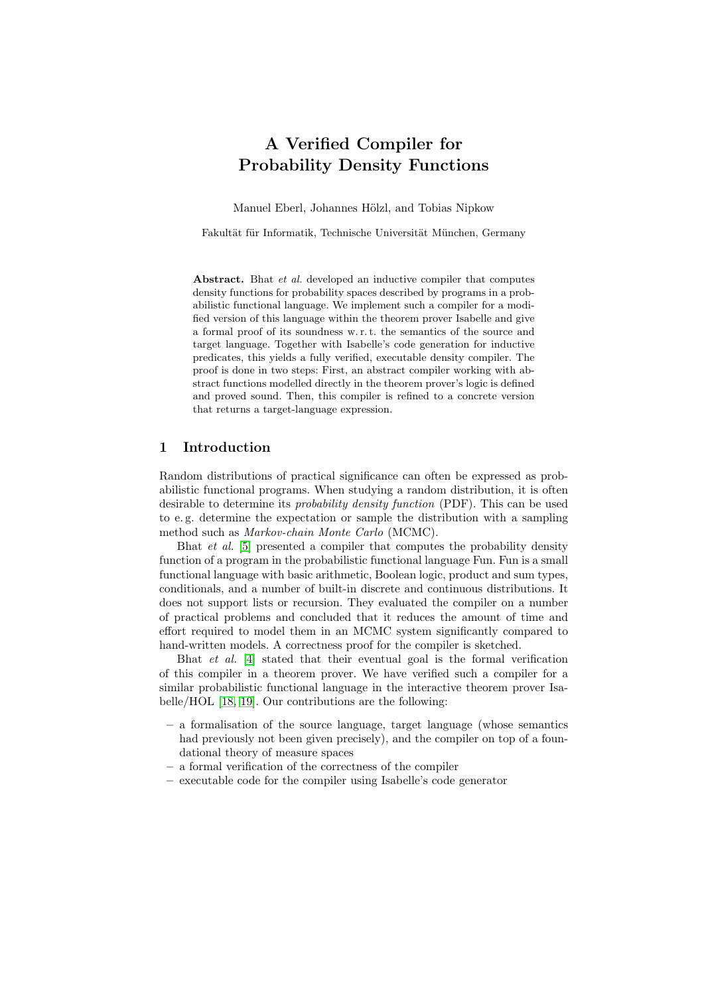# A Verified Compiler for Probability Density Functions

Manuel Eberl, Johannes Hölzl, and Tobias Nipkow

Fakultät für Informatik, Technische Universität München, Germany

Abstract. Bhat *et al.* developed an inductive compiler that computes density functions for probability spaces described by programs in a probabilistic functional language. We implement such a compiler for a modified version of this language within the theorem prover Isabelle and give a formal proof of its soundness w. r. t. the semantics of the source and target language. Together with Isabelle's code generation for inductive predicates, this yields a fully verified, executable density compiler. The proof is done in two steps: First, an abstract compiler working with abstract functions modelled directly in the theorem prover's logic is defined and proved sound. Then, this compiler is refined to a concrete version that returns a target-language expression.

# 1 Introduction

Random distributions of practical significance can often be expressed as probabilistic functional programs. When studying a random distribution, it is often desirable to determine its *probability density function* (PDF). This can be used to e. g. determine the expectation or sample the distribution with a sampling method such as Markov-chain Monte Carlo (MCMC).

Bhat et al. [\[5\]](#page-22-0) presented a compiler that computes the probability density function of a program in the probabilistic functional language Fun. Fun is a small functional language with basic arithmetic, Boolean logic, product and sum types, conditionals, and a number of built-in discrete and continuous distributions. It does not support lists or recursion. They evaluated the compiler on a number of practical problems and concluded that it reduces the amount of time and effort required to model them in an MCMC system significantly compared to hand-written models. A correctness proof for the compiler is sketched.

Bhat et al. [\[4\]](#page-22-1) stated that their eventual goal is the formal verification of this compiler in a theorem prover. We have verified such a compiler for a similar probabilistic functional language in the interactive theorem prover Isabelle/HOL [\[18,](#page-23-0) [19\]](#page-23-1). Our contributions are the following:

- a formalisation of the source language, target language (whose semantics had previously not been given precisely), and the compiler on top of a foundational theory of measure spaces
- a formal verification of the correctness of the compiler
- executable code for the compiler using Isabelle's code generator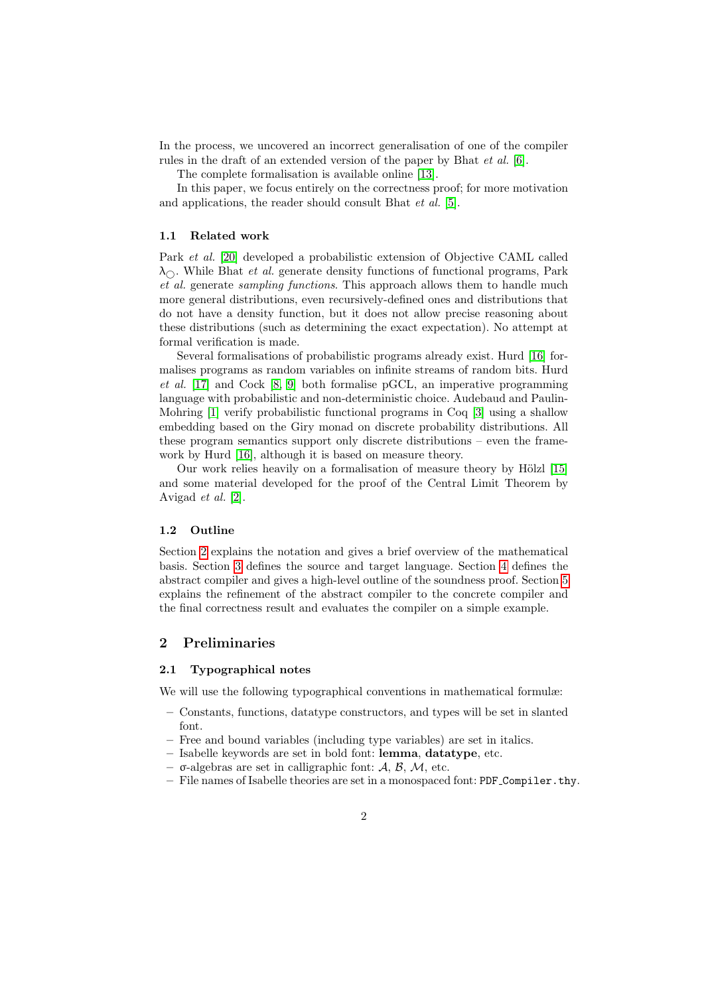In the process, we uncovered an incorrect generalisation of one of the compiler rules in the draft of an extended version of the paper by Bhat et al. [\[6\]](#page-23-2).

The complete formalisation is available online [\[13\]](#page-23-3).

In this paper, we focus entirely on the correctness proof; for more motivation and applications, the reader should consult Bhat et al. [\[5\]](#page-22-0).

#### 1.1 Related work

Park *et al.* [\[20\]](#page-23-4) developed a probabilistic extension of Objective CAML called  $\lambda_{\bigcirc}$ . While Bhat *et al.* generate density functions of functional programs, Park et al. generate sampling functions. This approach allows them to handle much more general distributions, even recursively-defined ones and distributions that do not have a density function, but it does not allow precise reasoning about these distributions (such as determining the exact expectation). No attempt at formal verification is made.

Several formalisations of probabilistic programs already exist. Hurd [\[16\]](#page-23-5) formalises programs as random variables on infinite streams of random bits. Hurd et al.  $[17]$  and Cock  $[8, 9]$  $[8, 9]$  both formalise pGCL, an imperative programming language with probabilistic and non-deterministic choice. Audebaud and Paulin-Mohring [\[1\]](#page-22-2) verify probabilistic functional programs in Coq [\[3\]](#page-22-3) using a shallow embedding based on the Giry monad on discrete probability distributions. All these program semantics support only discrete distributions – even the framework by Hurd [\[16\]](#page-23-5), although it is based on measure theory.

Our work relies heavily on a formalisation of measure theory by Hölzl  $|15|$ and some material developed for the proof of the Central Limit Theorem by Avigad et al. [\[2\]](#page-22-4).

# 1.2 Outline

Section [2](#page-1-0) explains the notation and gives a brief overview of the mathematical basis. Section [3](#page-4-0) defines the source and target language. Section [4](#page-12-0) defines the abstract compiler and gives a high-level outline of the soundness proof. Section [5](#page-17-0) explains the refinement of the abstract compiler to the concrete compiler and the final correctness result and evaluates the compiler on a simple example.

# <span id="page-1-0"></span>2 Preliminaries

# 2.1 Typographical notes

We will use the following typographical conventions in mathematical formulæ:

- Constants, functions, datatype constructors, and types will be set in slanted font.
- Free and bound variables (including type variables) are set in italics.
- Isabelle keywords are set in bold font: lemma, datatype, etc.
- σ-algebras are set in calligraphic font: A, B, M, etc.
- File names of Isabelle theories are set in a monospaced font: PDF Compiler.thy.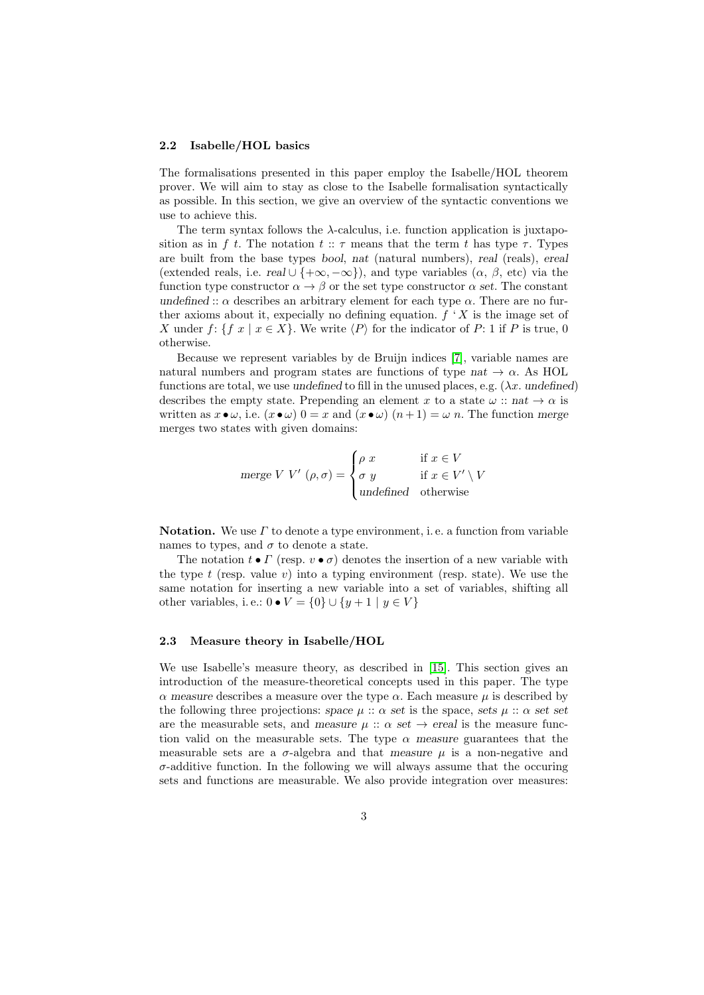#### 2.2 Isabelle/HOL basics

The formalisations presented in this paper employ the Isabelle/HOL theorem prover. We will aim to stay as close to the Isabelle formalisation syntactically as possible. In this section, we give an overview of the syntactic conventions we use to achieve this.

The term syntax follows the  $\lambda$ -calculus, i.e. function application is juxtaposition as in f t. The notation  $t : \tau$  means that the term t has type  $\tau$ . Types are built from the base types bool, nat (natural numbers), real (reals), ereal (extended reals, i.e. real  $\cup$  {+ $\infty$ ,  $-\infty$ }), and type variables  $(\alpha, \beta, \text{etc})$  via the function type constructor  $\alpha \to \beta$  or the set type constructor  $\alpha$  set. The constant undefined ::  $\alpha$  describes an arbitrary element for each type  $\alpha$ . There are no further axioms about it, expecially no defining equation.  $f \cdot X$  is the image set of X under f: {f x | x ∈ X}. We write  $\langle P \rangle$  for the indicator of P: 1 if P is true, 0 otherwise.

Because we represent variables by de Bruijn indices [\[7\]](#page-23-10), variable names are natural numbers and program states are functions of type nat  $\rightarrow \alpha$ . As HOL functions are total, we use undefined to fill in the unused places, e.g.  $(\lambda x.$  undefined) describes the empty state. Prepending an element x to a state  $\omega$  :: nat  $\rightarrow \alpha$  is written as  $x \bullet \omega$ , i.e.  $(x \bullet \omega)$   $0 = x$  and  $(x \bullet \omega)$   $(n+1) = \omega n$ . The function merge merges two states with given domains:

merge V V' 
$$
(\rho, \sigma) = \begin{cases} \rho & \text{if } x \in V \\ \sigma & \text{if } x \in V' \setminus V \\ \text{undefined} & \text{otherwise} \end{cases}
$$

<span id="page-2-0"></span>**Notation.** We use  $\Gamma$  to denote a type environment, i.e. a function from variable names to types, and  $\sigma$  to denote a state.

The notation  $t \bullet \Gamma$  (resp.  $v \bullet \sigma$ ) denotes the insertion of a new variable with the type  $t$  (resp. value  $v$ ) into a typing environment (resp. state). We use the same notation for inserting a new variable into a set of variables, shifting all other variables, i.e.:  $0 \bullet V = \{0\} \cup \{y+1 \mid y \in V\}$ 

#### 2.3 Measure theory in Isabelle/HOL

We use Isabelle's measure theory, as described in [\[15\]](#page-23-9). This section gives an introduction of the measure-theoretical concepts used in this paper. The type α measure describes a measure over the type  $\alpha$ . Each measure  $\mu$  is described by the following three projections: space  $\mu$  ::  $\alpha$  set is the space, sets  $\mu$  ::  $\alpha$  set set are the measurable sets, and measure  $\mu$  ::  $\alpha$  set  $\rightarrow$  ereal is the measure function valid on the measurable sets. The type  $\alpha$  measure guarantees that the measurable sets are a  $\sigma$ -algebra and that measure  $\mu$  is a non-negative and  $\sigma$ -additive function. In the following we will always assume that the occuring sets and functions are measurable. We also provide integration over measures: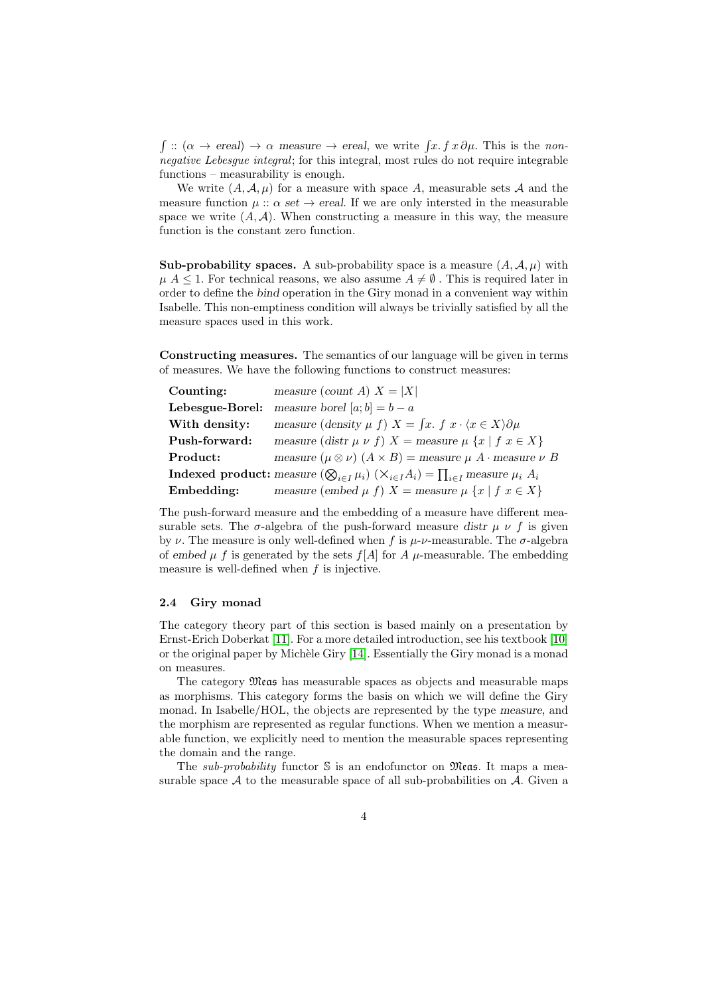$\int$  ::  $(\alpha \to \text{ereal}) \to \alpha$  measure  $\to$  ereal, we write  $\int x \cdot f \cdot d\mu$ . This is the nonnegative Lebesgue integral; for this integral, most rules do not require integrable functions – measurability is enough.

We write  $(A, \mathcal{A}, \mu)$  for a measure with space A, measurable sets A and the measure function  $\mu :: \alpha$  set  $\rightarrow$  ereal. If we are only intersted in the measurable space we write  $(A, \mathcal{A})$ . When constructing a measure in this way, the measure function is the constant zero function.

Sub-probability spaces. A sub-probability space is a measure  $(A, \mathcal{A}, \mu)$  with  $\mu$  A < 1. For technical reasons, we also assume  $A \neq \emptyset$ . This is required later in order to define the bind operation in the Giry monad in a convenient way within Isabelle. This non-emptiness condition will always be trivially satisfied by all the measure spaces used in this work.

Constructing measures. The semantics of our language will be given in terms of measures. We have the following functions to construct measures:

| Counting:       | measure (count A) $X =  X $                                                                                                        |
|-----------------|------------------------------------------------------------------------------------------------------------------------------------|
| Lebesgue-Borel: | measure borel $[a; b] = b - a$                                                                                                     |
| With density:   | measure (density $\mu f$ ) $X = \int x \cdot f x \cdot \langle x \in X \rangle \partial \mu$                                       |
| Push-forward:   | measure (distr $\mu \nu f$ ) $X =$ measure $\mu \{x \mid f \ x \in X\}$                                                            |
| Product:        | measure $(\mu \otimes \nu)$ $(A \times B)$ = measure $\mu$ A · measure $\nu$ B                                                     |
|                 | <b>Indexed product:</b> measure $(\bigotimes_{i \in I} \mu_i)$ $(\bigtimes_{i \in I} A_i) = \prod_{i \in I}$ measure $\mu_i$ $A_i$ |
| Embedding:      | measure (embed $\mu$ f) $X =$ measure $\mu$ { $x   f x \in X$ }                                                                    |

The push-forward measure and the embedding of a measure have different measurable sets. The  $\sigma$ -algebra of the push-forward measure distr  $\mu \nu f$  is given by  $\nu$ . The measure is only well-defined when f is  $\mu$ - $\nu$ -measurable. The  $\sigma$ -algebra of embed  $\mu$  f is generated by the sets f[A] for A  $\mu$ -measurable. The embedding measure is well-defined when  $f$  is injective.

#### <span id="page-3-0"></span>2.4 Giry monad

The category theory part of this section is based mainly on a presentation by Ernst-Erich Doberkat [\[11\]](#page-23-11). For a more detailed introduction, see his textbook [\[10\]](#page-23-12) or the original paper by Michèle Giry  $[14]$ . Essentially the Giry monad is a monad on measures.

The category Meas has measurable spaces as objects and measurable maps as morphisms. This category forms the basis on which we will define the Giry monad. In Isabelle/HOL, the objects are represented by the type measure, and the morphism are represented as regular functions. When we mention a measurable function, we explicitly need to mention the measurable spaces representing the domain and the range.

The *sub-probability* functor  $S$  is an endofunctor on  $\mathfrak{Meas}$ . It maps a measurable space  $A$  to the measurable space of all sub-probabilities on  $A$ . Given a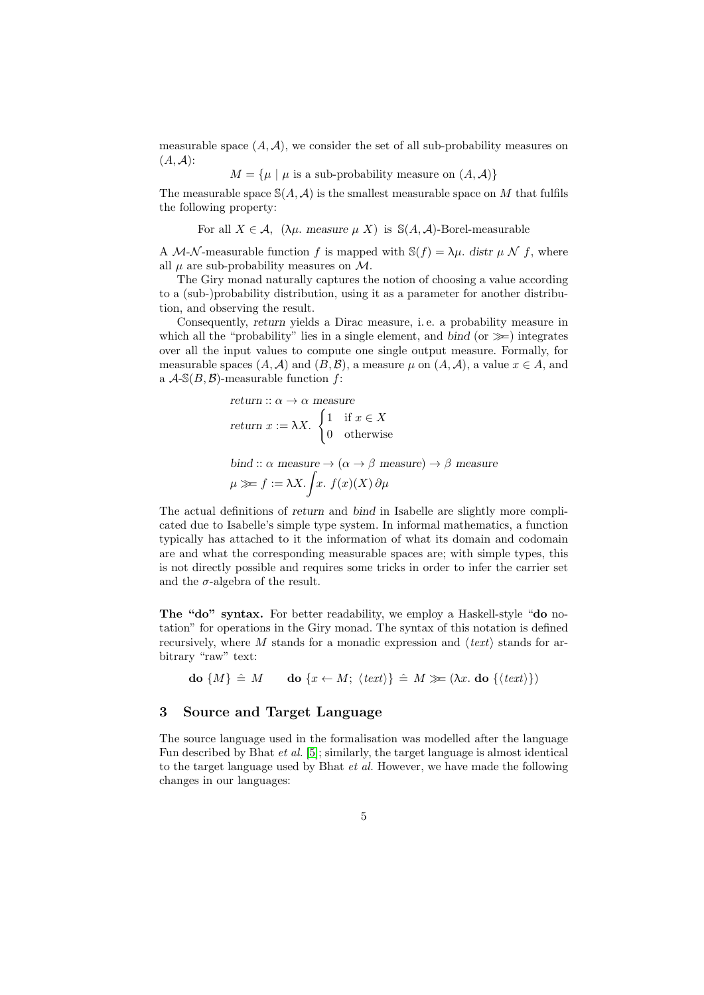measurable space  $(A, \mathcal{A})$ , we consider the set of all sub-probability measures on  $(A, \mathcal{A})$ :

$$
M = {\mu | \mu \text{ is a sub-probability measure on } (A, \mathcal{A})}
$$

The measurable space  $S(A, \mathcal{A})$  is the smallest measurable space on M that fulfils the following property:

For all  $X \in \mathcal{A}$ ,  $(\lambda \mu)$  measure  $\mu X$  is  $\mathcal{S}(A, \mathcal{A})$ -Borel-measurable

A M-N-measurable function f is mapped with  $\mathcal{S}(f) = \lambda \mu$ . distr  $\mu \mathcal{N} f$ , where all  $\mu$  are sub-probability measures on  $\mathcal{M}$ .

The Giry monad naturally captures the notion of choosing a value according to a (sub-)probability distribution, using it as a parameter for another distribution, and observing the result.

Consequently, return yields a Dirac measure, i. e. a probability measure in which all the "probability" lies in a single element, and bind (or  $\gg$ ) integrates over all the input values to compute one single output measure. Formally, for measurable spaces  $(A, \mathcal{A})$  and  $(B, \mathcal{B})$ , a measure  $\mu$  on  $(A, \mathcal{A})$ , a value  $x \in A$ , and a  $A-S(B,\mathcal{B})$ -measurable function f:

return :: 
$$
\alpha \to \alpha
$$
 measure  
return  $x := \lambda X$ . 
$$
\begin{cases} 1 & \text{if } x \in X \\ 0 & \text{otherwise} \end{cases}
$$

bind ::  $\alpha$  measure  $\rightarrow (\alpha \rightarrow \beta$  measure)  $\rightarrow \beta$  measure  $\mu \gg f := \lambda X. \int x. f(x)(X) \partial \mu$ 

The actual definitions of return and bind in Isabelle are slightly more complicated due to Isabelle's simple type system. In informal mathematics, a function typically has attached to it the information of what its domain and codomain are and what the corresponding measurable spaces are; with simple types, this is not directly possible and requires some tricks in order to infer the carrier set and the  $\sigma$ -algebra of the result.

The "do" syntax. For better readability, we employ a Haskell-style "do notation" for operations in the Giry monad. The syntax of this notation is defined recursively, where M stands for a monadic expression and  $\langle text \rangle$  stands for arbitrary "raw" text:

$$
\mathbf{do} \{M\} \triangleq M \qquad \mathbf{do} \{x \leftarrow M; \langle \text{text}\rangle\} \triangleq M \ggg (\lambda x. \mathbf{do} \{\langle \text{text}\rangle\})
$$

# <span id="page-4-0"></span>3 Source and Target Language

The source language used in the formalisation was modelled after the language Fun described by Bhat et al. [\[5\]](#page-22-0); similarly, the target language is almost identical to the target language used by Bhat et al. However, we have made the following changes in our languages: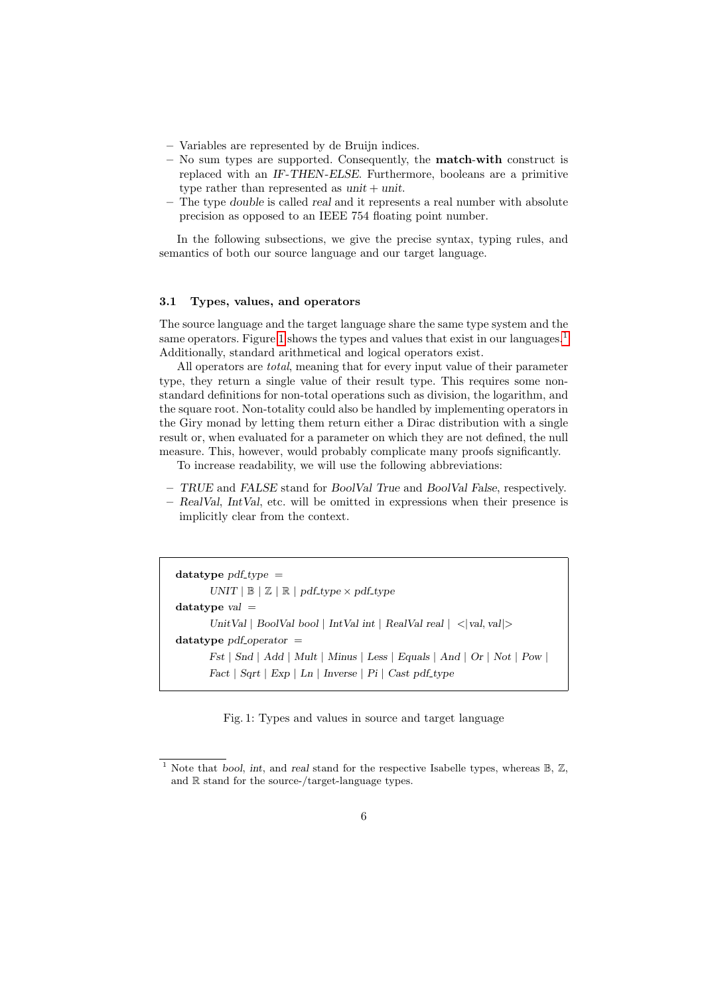- Variables are represented by de Bruijn indices.
- No sum types are supported. Consequently, the match-with construct is replaced with an IF-THEN-ELSE. Furthermore, booleans are a primitive type rather than represented as  $unit + unit$ .
- $-$  The type double is called real and it represents a real number with absolute precision as opposed to an IEEE 754 floating point number.

In the following subsections, we give the precise syntax, typing rules, and semantics of both our source language and our target language.

#### 3.1 Types, values, and operators

The source language and the target language share the same type system and the same operators. Figure [1](#page-5-0) shows the types and values that exist in our languages.<sup>[1](#page-5-1)</sup> Additionally, standard arithmetical and logical operators exist.

All operators are total, meaning that for every input value of their parameter type, they return a single value of their result type. This requires some nonstandard definitions for non-total operations such as division, the logarithm, and the square root. Non-totality could also be handled by implementing operators in the Giry monad by letting them return either a Dirac distribution with a single result or, when evaluated for a parameter on which they are not defined, the null measure. This, however, would probably complicate many proofs significantly.

To increase readability, we will use the following abbreviations:

- TRUE and FALSE stand for BoolVal True and BoolVal False, respectively.
- RealVal, IntVal, etc. will be omitted in expressions when their presence is implicitly clear from the context.

<span id="page-5-0"></span>

| datatype $pdf_type =$                                                               |
|-------------------------------------------------------------------------------------|
| $UNIT \mid \mathbb{B} \mid \mathbb{Z} \mid \mathbb{R}$   pdf_type $\times$ pdf_type |
| datatype $val =$                                                                    |
| UnitVal   BoolVal bool   IntVal int   RealVal real $  \langle x  \rangle$           |
| data type $pdf\_operator =$                                                         |
| $Fst$   Snd   Add   Mult   Minus   Less   Equals   And   Or   Not   Pow             |
| $Fact   Sqrt   Exp   Ln   Inverse   Pi   Cast pdf_type$                             |

Fig. 1: Types and values in source and target language

<span id="page-5-1"></span><sup>&</sup>lt;sup>1</sup> Note that bool, int, and real stand for the respective Isabelle types, whereas  $\mathbb{B}, \mathbb{Z},$ and  $\mathbb R$  stand for the source-/target-language types.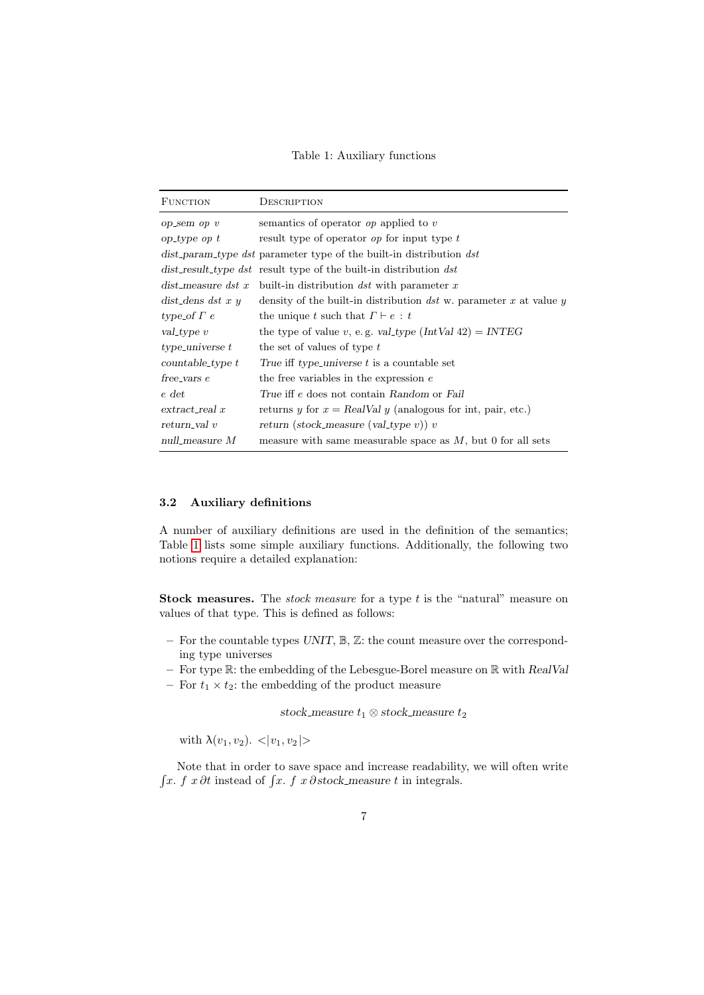Table 1: Auxiliary functions

<span id="page-6-0"></span>

| FUNCTION                      | DESCRIPTION                                                           |
|-------------------------------|-----------------------------------------------------------------------|
| $op$ -sem $op$ $v$            | semantics of operator $op$ applied to $v$                             |
| $op_type op t$                | result type of operator <i>op</i> for input type t                    |
|                               | dist_param_type dst parameter type of the built-in distribution dst   |
|                               | dist_result_type dst result type of the built-in distribution dst     |
| $dist$ -measure dst x         | built-in distribution $dst$ with parameter $x$                        |
| $dist\_dens \, dst \, x \, y$ | density of the built-in distribution $dst$ w. parameter x at value y  |
| type_of $\Gamma e$            | the unique t such that $\Gamma \vdash e : t$                          |
| $val_type$                    | the type of value v, e.g. val-type $(intVal 42) = INTEGR$             |
| $type\_universe$ t            | the set of values of type t                                           |
| countable_type t              | True iff type_universe t is a countable set                           |
| $free\_vars$ e                | the free variables in the expression $e$                              |
| e det                         | True iff e does not contain Random or Fail                            |
| $extract\_real x$             | returns y for $x = \text{RealVal } y$ (analogous for int, pair, etc.) |
| $return\_val$                 | return (stock_measure (val_type v)) v                                 |
| null_measure $M$              | measure with same measurable space as $M$ , but 0 for all sets        |

# 3.2 Auxiliary definitions

A number of auxiliary definitions are used in the definition of the semantics; Table [1](#page-6-0) lists some simple auxiliary functions. Additionally, the following two notions require a detailed explanation:

Stock measures. The stock measure for a type  $t$  is the "natural" measure on values of that type. This is defined as follows:

- For the countable types UNIT,  $\mathbb{B}, \mathbb{Z}$ : the count measure over the corresponding type universes
- For type  $\mathbb R$ : the embedding of the Lebesgue-Borel measure on  $\mathbb R$  with RealVal
- For  $t_1 \times t_2$ : the embedding of the product measure

stock\_measure $t_1 \otimes \text{stock\_measure } t_2$ 

with  $\lambda(v_1, v_2)$ .  $\langle v_1, v_2 | >$ 

Note that in order to save space and increase readability, we will often write  $\int x f x \partial t$  instead of  $\int x f x \partial st$  ock measure t in integrals.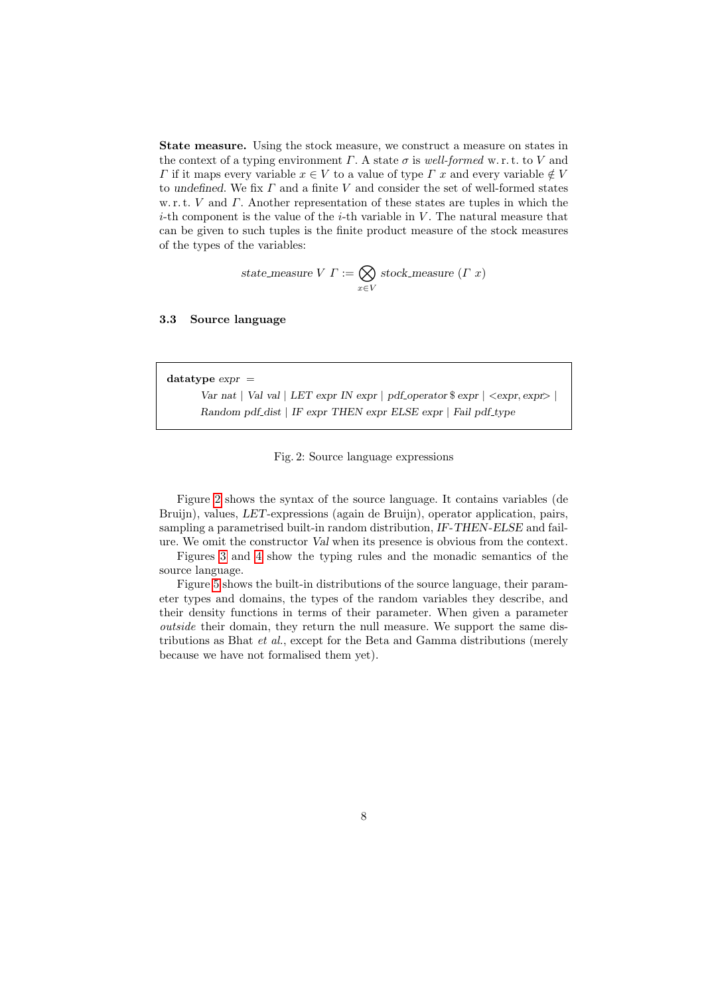State measure. Using the stock measure, we construct a measure on states in the context of a typing environment  $\Gamma$ . A state  $\sigma$  is well-formed w.r.t. to V and  $\Gamma$  if it maps every variable  $x \in V$  to a value of type  $\Gamma$  x and every variable  $\notin V$ to undefined. We fix  $\Gamma$  and a finite  $V$  and consider the set of well-formed states w. r. t. V and  $\Gamma$ . Another representation of these states are tuples in which the  $i$ -th component is the value of the  $i$ -th variable in V. The natural measure that can be given to such tuples is the finite product measure of the stock measures of the types of the variables:

state-measure 
$$
V \rightharpoondown \rightharpoondown \sum_{x \in V} \text{stock-measure} (r \rightharpoondown x)
$$

#### 3.3 Source language

<span id="page-7-0"></span> $datatype expr =$ Var nat | Val val | LET expr IN expr | pdf\_operator  $\frac{1}{2}$  expr, expr> | Random pdf dist | IF expr THEN expr  $E LSE$  expr | Fail pdf type

#### Fig. 2: Source language expressions

Figure [2](#page-7-0) shows the syntax of the source language. It contains variables (de Bruijn), values, LET-expressions (again de Bruijn), operator application, pairs, sampling a parametrised built-in random distribution, IF-THEN-ELSE and failure. We omit the constructor Val when its presence is obvious from the context.

Figures [3](#page-8-0) and [4](#page-8-1) show the typing rules and the monadic semantics of the source language.

Figure [5](#page-9-0) shows the built-in distributions of the source language, their parameter types and domains, the types of the random variables they describe, and their density functions in terms of their parameter. When given a parameter outside their domain, they return the null measure. We support the same distributions as Bhat et al., except for the Beta and Gamma distributions (merely because we have not formalised them yet).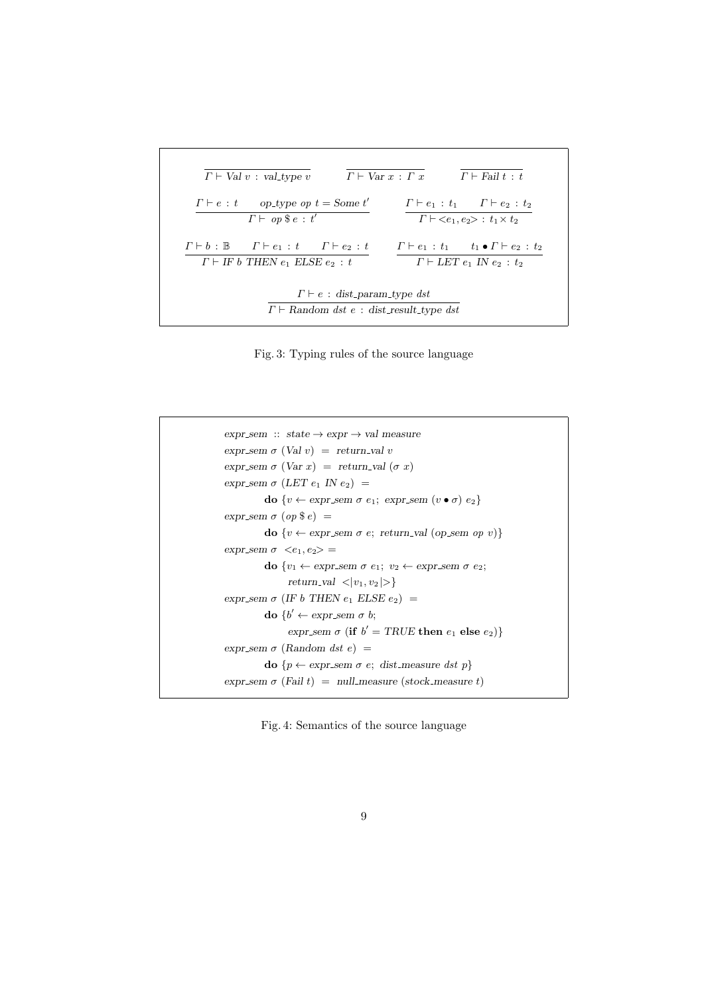<span id="page-8-0"></span>
$$
\begin{array}{ccc}\n\overline{I \vdash \text{Val } v : \text{val_type } v} & \overline{I \vdash \text{Var } x : \Gamma x} & \overline{I \vdash \text{fail } t : t} \\
\frac{\Gamma \vdash e : t & \text{op_type } op \ t = \text{Some } t'}{\Gamma \vdash op \$ e : t'} & \frac{\Gamma \vdash e_1 : t_1 & \Gamma \vdash e_2 : t_2}{\Gamma \vdash < e_1, e_2 > : t_1 \times t_2} \\
\frac{\Gamma \vdash b : \mathbb{B} & \Gamma \vdash e_1 : t & \Gamma \vdash e_2 : t}{\Gamma \vdash \text{IFb } \text{THEN } e_1 \text{ ELSE } e_2 : t} & \frac{\Gamma \vdash e_1 : t_1 & t_1 \bullet \Gamma \vdash e_2 : t_2}{\Gamma \vdash \text{LET } e_1 \text{ IN } e_2 : t_2} \\
\frac{\Gamma \vdash e : \text{dist\_param\_type } dst}{\Gamma \vdash \text{Random } dst \text{ } e : \text{dist\_result\_type } dst}\n\end{array}
$$

Fig. 3: Typing rules of the source language

<span id="page-8-1"></span>

Fig. 4: Semantics of the source language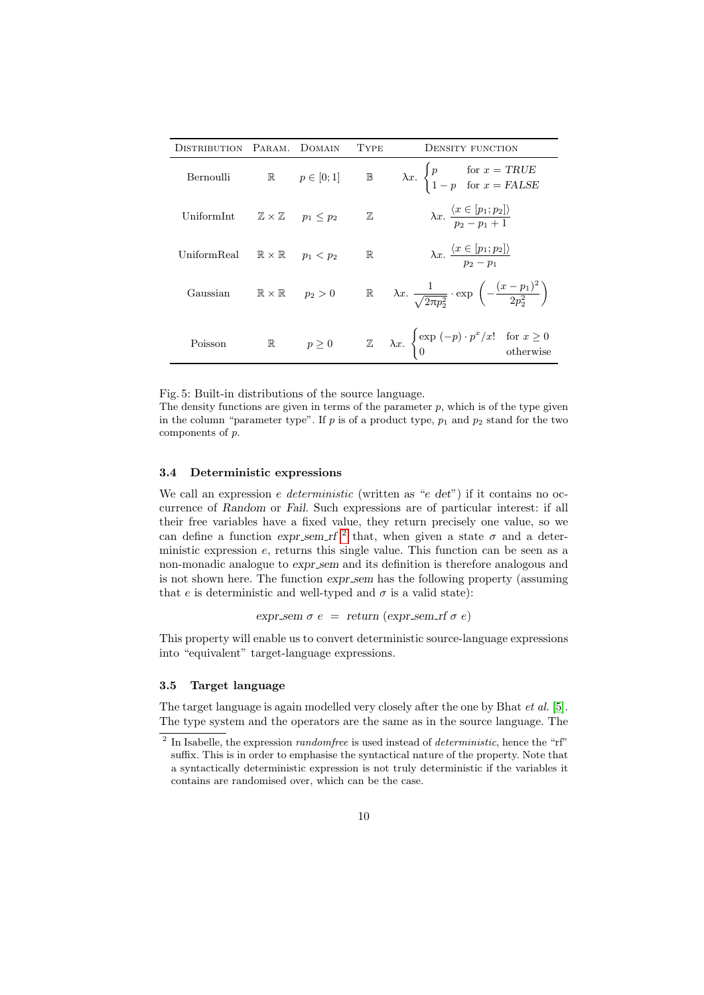<span id="page-9-0"></span>

| <b>DISTRIBUTION</b> |                              | PARAM. DOMAIN                                 | <b>TYPE</b>  | DENSITY FUNCTION                                                                                                         |
|---------------------|------------------------------|-----------------------------------------------|--------------|--------------------------------------------------------------------------------------------------------------------------|
| Bernoulli           | $\mathbb R$                  | $p \in [0;1]$                                 | $\mathbb{B}$ | $\lambda x. \begin{cases} p & \text{for } x = \text{TRUE} \\ 1-p & \text{for } x = \text{FALSE} \end{cases}$             |
| UniformInt          |                              | $\mathbb{Z} \times \mathbb{Z}$ $p_1 \leq p_2$ | $\mathbb Z$  | $\lambda x. \frac{\langle x \in [p_1; p_2] \rangle}{p_2 - p_1 + 1}$                                                      |
| UniformReal         | $\mathbb{R}\times\mathbb{R}$ | $p_1 < p_2$                                   | $\mathbb R$  | $\lambda x. \frac{\langle x \in [p_1; p_2] \rangle}{p_2 - p_1}$                                                          |
| Gaussian            | $\mathbb{R}\times\mathbb{R}$ | $p_2 > 0$                                     | $\mathbb R$  | $\lambda x. \frac{1}{\sqrt{2\pi p_2^2}} \cdot \exp\left(-\frac{(x-p_1)^2}{2p_2^2}\right)$                                |
| Poisson             | $\mathbb R$                  | $p\geq 0$                                     |              | $\mathbb{Z}$ $\lambda x. \begin{cases} \exp(-p) \cdot p^x/x! & \text{for } x \geq 0 \\ 0 & \text{otherwise} \end{cases}$ |

Fig. 5: Built-in distributions of the source language.

The density functions are given in terms of the parameter  $p$ , which is of the type given in the column "parameter type". If  $p$  is of a product type,  $p_1$  and  $p_2$  stand for the two components of p.

#### 3.4 Deterministic expressions

We call an expression *e* deterministic (written as "*e* det") if it contains no occurrence of Random or Fail. Such expressions are of particular interest: if all their free variables have a fixed value, they return precisely one value, so we can define a function expr\_sem\_rf<sup>[2](#page-9-1)</sup> that, when given a state  $\sigma$  and a deterministic expression e, returns this single value. This function can be seen as a non-monadic analogue to expr\_sem and its definition is therefore analogous and is not shown here. The function expr sem has the following property (assuming that e is deterministic and well-typed and  $\sigma$  is a valid state):

$$
expr.sem \sigma e = return (expr.sem.fr \sigma e)
$$

This property will enable us to convert deterministic source-language expressions into "equivalent" target-language expressions.

# 3.5 Target language

The target language is again modelled very closely after the one by Bhat *et al.* [\[5\]](#page-22-0). The type system and the operators are the same as in the source language. The

<span id="page-9-1"></span><sup>&</sup>lt;sup>2</sup> In Isabelle, the expression *randomfree* is used instead of *deterministic*, hence the "rf" suffix. This is in order to emphasise the syntactical nature of the property. Note that a syntactically deterministic expression is not truly deterministic if the variables it contains are randomised over, which can be the case.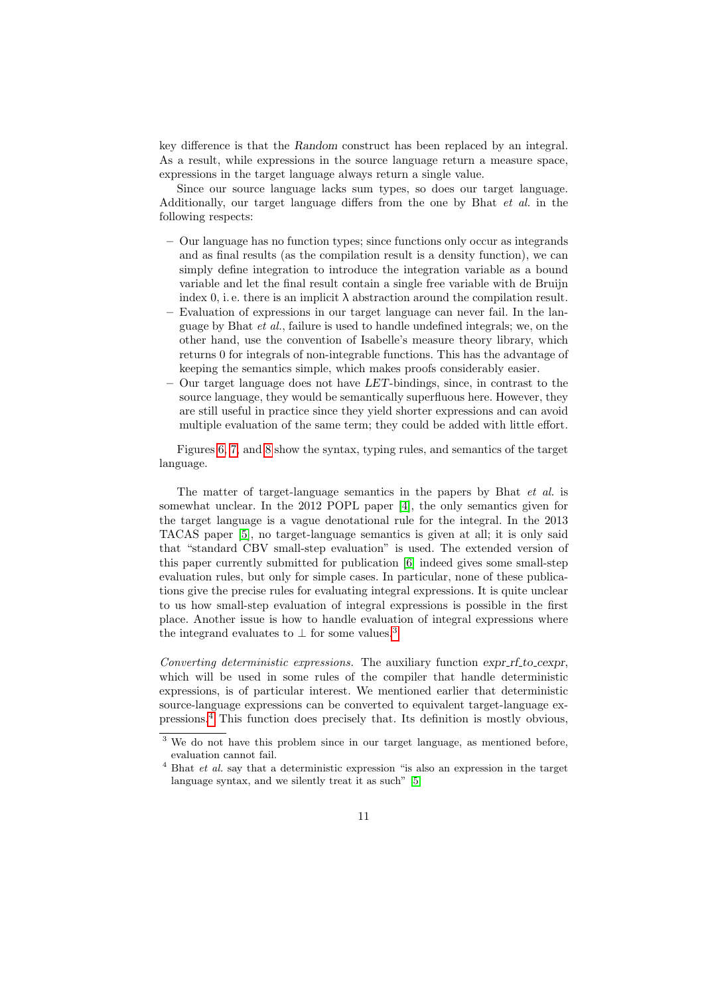key difference is that the Random construct has been replaced by an integral. As a result, while expressions in the source language return a measure space, expressions in the target language always return a single value.

Since our source language lacks sum types, so does our target language. Additionally, our target language differs from the one by Bhat et al. in the following respects:

- Our language has no function types; since functions only occur as integrands and as final results (as the compilation result is a density function), we can simply define integration to introduce the integration variable as a bound variable and let the final result contain a single free variable with de Bruijn index 0, i.e. there is an implicit  $\lambda$  abstraction around the compilation result.
- Evaluation of expressions in our target language can never fail. In the language by Bhat et al., failure is used to handle undefined integrals; we, on the other hand, use the convention of Isabelle's measure theory library, which returns 0 for integrals of non-integrable functions. This has the advantage of keeping the semantics simple, which makes proofs considerably easier.
- Our target language does not have LET-bindings, since, in contrast to the source language, they would be semantically superfluous here. However, they are still useful in practice since they yield shorter expressions and can avoid multiple evaluation of the same term; they could be added with little effort.

Figures [6,](#page-11-0) [7,](#page-11-1) and [8](#page-11-2) show the syntax, typing rules, and semantics of the target language.

The matter of target-language semantics in the papers by Bhat et al. is somewhat unclear. In the 2012 POPL paper [\[4\]](#page-22-1), the only semantics given for the target language is a vague denotational rule for the integral. In the 2013 TACAS paper [\[5\]](#page-22-0), no target-language semantics is given at all; it is only said that "standard CBV small-step evaluation" is used. The extended version of this paper currently submitted for publication [\[6\]](#page-23-2) indeed gives some small-step evaluation rules, but only for simple cases. In particular, none of these publications give the precise rules for evaluating integral expressions. It is quite unclear to us how small-step evaluation of integral expressions is possible in the first place. Another issue is how to handle evaluation of integral expressions where the integrand evaluates to  $\perp$  for some values.<sup>[3](#page-10-0)</sup>

Converting deterministic expressions. The auxiliary function  $\exp(r \cdot r f \cdot t \cdot c)$ . which will be used in some rules of the compiler that handle deterministic expressions, is of particular interest. We mentioned earlier that deterministic source-language expressions can be converted to equivalent target-language expressions.[4](#page-10-1) This function does precisely that. Its definition is mostly obvious,

<span id="page-10-0"></span><sup>&</sup>lt;sup>3</sup> We do not have this problem since in our target language, as mentioned before, evaluation cannot fail.

<span id="page-10-1"></span> $4$  Bhat *et al.* say that a deterministic expression "is also an expression in the target language syntax, and we silently treat it as such" [\[5\]](#page-22-0)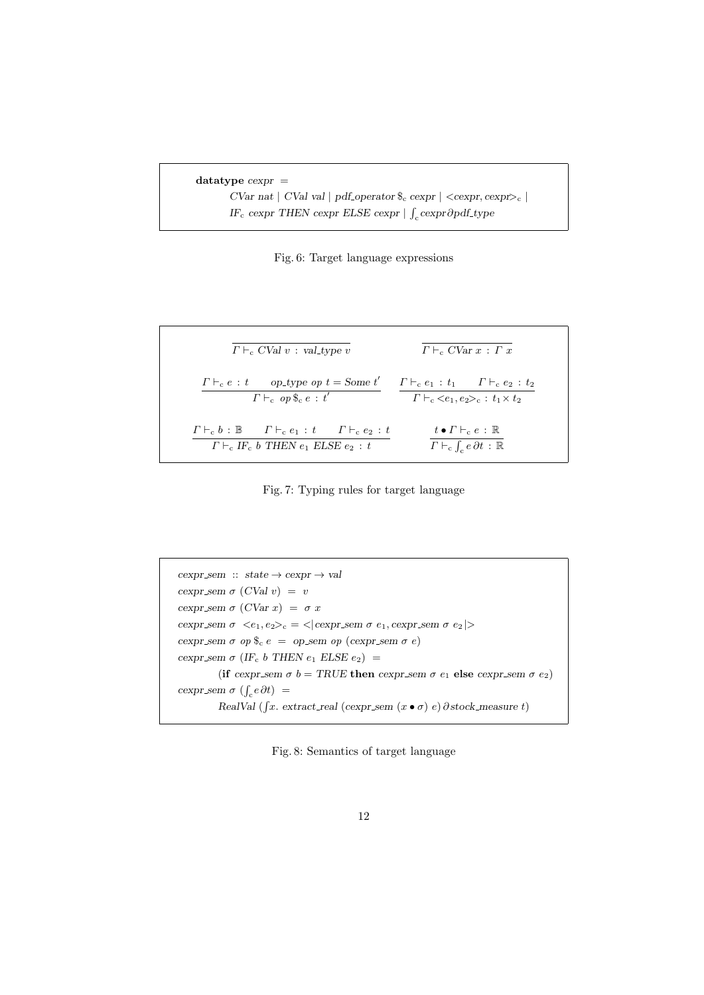<span id="page-11-0"></span> $datatype \c{expr}$ 

CVar nat | CVal val | pdf operator  $\csc c$  cexpr |  $\langle$  cexpr, cexpr $\rangle_c$  |  $\textit{IF}_{\text{c}}$ cexpr THEN cexpr ELSE cexpr  $\mid \int_{\text{c}} \text{cexpr} \, \partial \text{pdf\_type}$ 



<span id="page-11-1"></span>

Fig. 7: Typing rules for target language

<span id="page-11-2"></span> $cexpr.sem :: state \rightarrow cexpr \rightarrow val$ cexpr\_sem  $\sigma$  (CVal v) = v cexpr\_sem  $\sigma$  (CVar x) =  $\sigma$  x cexpr\_sem  $\sigma \prec e_1, e_2 \succ_c \; = \; \langle \; | \text{cexpr\_sem} \; \sigma \; e_1, \text{cexpr\_sem} \; \sigma \; e_2 | \; \rangle$ cexpr sem  $\sigma$  op  $\epsilon$  e = op sem op (cexpr sem  $\sigma$  e) cexpr\_sem  $\sigma$  (IF<sub>c</sub> b THEN e<sub>1</sub> ELSE e<sub>2</sub>) = (if cexpr\_sem  $\sigma b = TRUE$  then cexpr\_sem  $\sigma e_1$  else cexpr\_sem  $\sigma e_2$ ) cexpr\_sem  $\sigma$  ( $\int_{c} e \partial t$ ) = RealVal ( $\int x$ . extract\_real (cexpr\_sem  $(x \bullet \sigma) e$ ) ∂stock\_measure t)

Fig. 8: Semantics of target language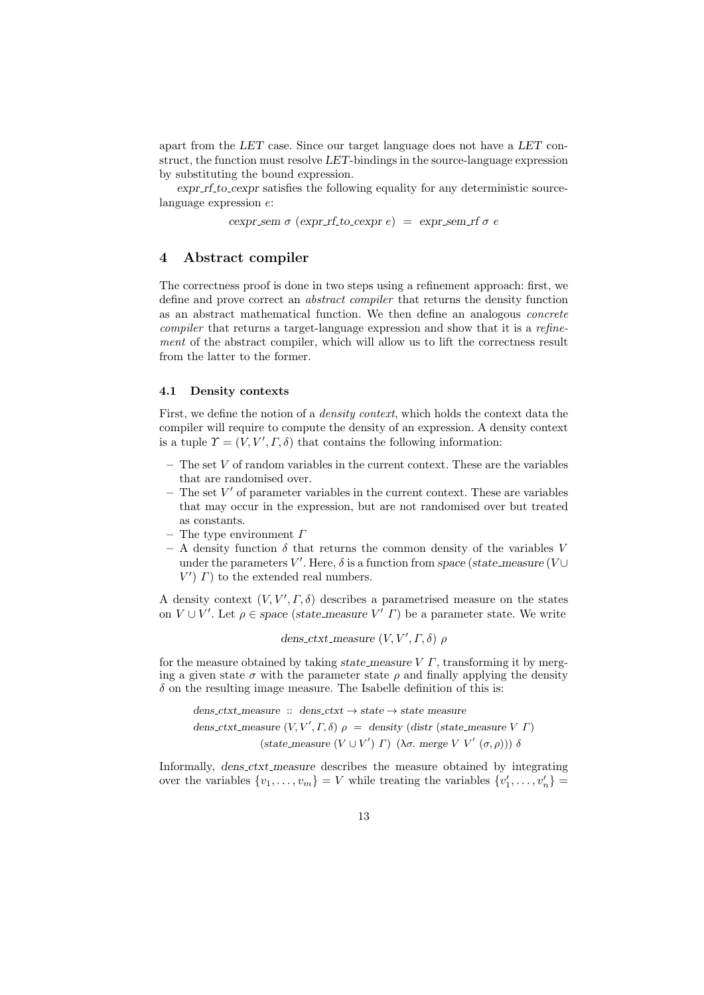apart from the LET case. Since our target language does not have a LET construct, the function must resolve LET-bindings in the source-language expression by substituting the bound expression.

expr rf to cexpr satisfies the following equality for any deterministic sourcelanguage expression e:

cexpr sem  $\sigma$  (expr rf to cexpr e) = expr sem rf  $\sigma$  e

# <span id="page-12-0"></span>4 Abstract compiler

The correctness proof is done in two steps using a refinement approach: first, we define and prove correct an abstract compiler that returns the density function as an abstract mathematical function. We then define an analogous concrete compiler that returns a target-language expression and show that it is a refinement of the abstract compiler, which will allow us to lift the correctness result from the latter to the former.

#### 4.1 Density contexts

First, we define the notion of a *density context*, which holds the context data the compiler will require to compute the density of an expression. A density context is a tuple  $\Upsilon = (V, V', \Gamma, \delta)$  that contains the following information:

- $-$  The set V of random variables in the current context. These are the variables that are randomised over.
- $-$  The set  $V'$  of parameter variables in the current context. These are variables that may occur in the expression, but are not randomised over but treated as constants.
- The type environment  $\Gamma$
- A density function  $\delta$  that returns the common density of the variables V under the parameters V'. Here,  $\delta$  is a function from space (state\_measure (V $\cup$  $V'$ )  $\Gamma$ ) to the extended real numbers.

A density context  $(V, V', \Gamma, \delta)$  describes a parametrised measure on the states on  $V \cup V'$ . Let  $\rho \in space$  (state\_measure V'  $\Gamma$ ) be a parameter state. We write

dens\_ctxt\_measure  $(V, V', \Gamma, \delta)$   $\rho$ 

for the measure obtained by taking state measure  $V \Gamma$ , transforming it by merging a given state  $\sigma$  with the parameter state  $\rho$  and finally applying the density  $\delta$  on the resulting image measure. The Isabelle definition of this is:

 $dens\_ctxt\_measure :: dens\_ctxt \rightarrow state \rightarrow state \space measure$ dens\_ctxt\_measure  $(V, V', \Gamma, \delta)$   $\rho =$  density (distr (state\_measure V  $\Gamma$ ) (state\_measure  $(V \cup V')$   $\Gamma$ )  $(\lambda \sigma$ . merge  $V$   $V'$   $(\sigma, \rho))$ )  $\delta$ 

Informally, dens\_ctxt\_measure describes the measure obtained by integrating over the variables  $\{v_1, \ldots, v_m\} = V$  while treating the variables  $\{v'_1, \ldots, v'_n\} =$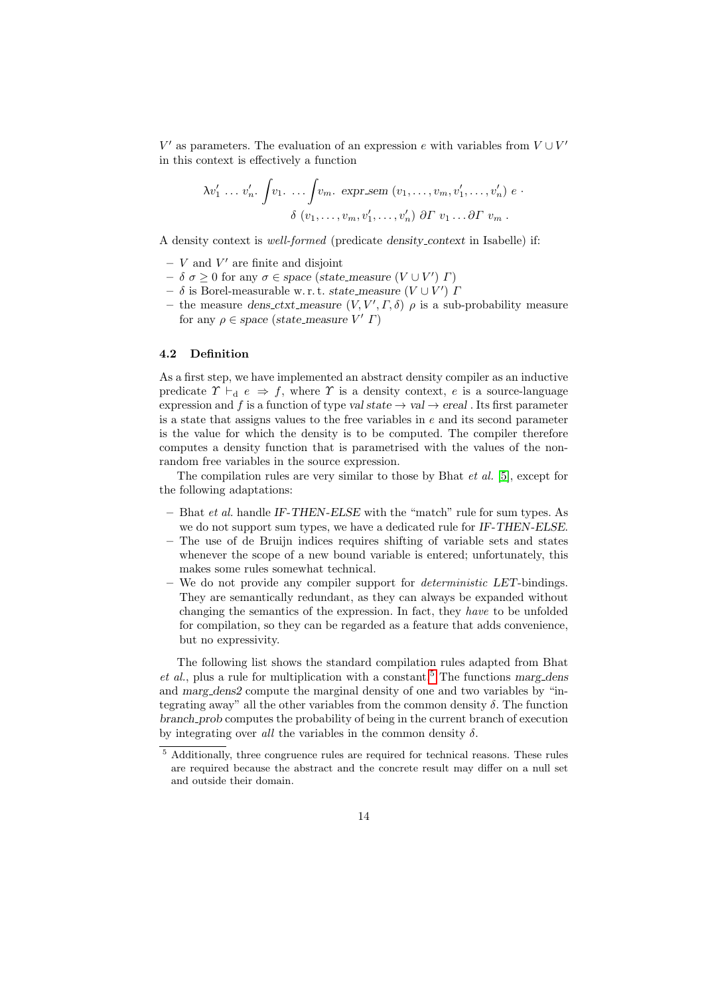$V'$  as parameters. The evaluation of an expression e with variables from  $V \cup V'$ in this context is effectively a function

$$
\lambda v'_1 \ldots v'_n \cdot \int v_1 \ldots \int v_m \cdot \text{expr.sem}(v_1, \ldots, v_m, v'_1, \ldots, v'_n) e \cdot \delta(v_1, \ldots, v_m, v'_1, \ldots, v'_n) \partial \Gamma(v_1 \ldots \partial \Gamma(v_m))
$$

A density context is well-formed (predicate density context in Isabelle) if:

- $-$  V and  $V'$  are finite and disjoint
- $\delta \sigma \geq 0$  for any  $\sigma \in space$  (state\_measure  $(V \cup V')$ )  $\Gamma$ )
- $\delta$  is Borel-measurable w.r.t. state\_measure  $(V \cup V')$  I
- the measure dens ctxt measure  $(V, V', \Gamma, \delta)$   $\rho$  is a sub-probability measure for any  $\rho \in space$  (state\_measure  $V'$   $\Gamma$ )

#### 4.2 Definition

As a first step, we have implemented an abstract density compiler as an inductive predicate  $\Upsilon \vdash_{d} e \Rightarrow f$ , where  $\Upsilon$  is a density context, e is a source-language expression and f is a function of type val state  $\rightarrow$  val  $\rightarrow$  ereal. Its first parameter is a state that assigns values to the free variables in  $e$  and its second parameter is the value for which the density is to be computed. The compiler therefore computes a density function that is parametrised with the values of the nonrandom free variables in the source expression.

The compilation rules are very similar to those by Bhat et al. [\[5\]](#page-22-0), except for the following adaptations:

- Bhat et al. handle IF-THEN-ELSE with the "match" rule for sum types. As we do not support sum types, we have a dedicated rule for IF-THEN-ELSE.
- The use of de Bruijn indices requires shifting of variable sets and states whenever the scope of a new bound variable is entered; unfortunately, this makes some rules somewhat technical.
- We do not provide any compiler support for *deterministic LET*-bindings. They are semantically redundant, as they can always be expanded without changing the semantics of the expression. In fact, they have to be unfolded for compilation, so they can be regarded as a feature that adds convenience, but no expressivity.

The following list shows the standard compilation rules adapted from Bhat  $et al., plus a rule for multiplication with a constant.<sup>5</sup> The functions *marg-dens*$  $et al., plus a rule for multiplication with a constant.<sup>5</sup> The functions *marg-dens*$  $et al., plus a rule for multiplication with a constant.<sup>5</sup> The functions *marg-dens*$ and marg\_dens2 compute the marginal density of one and two variables by "integrating away" all the other variables from the common density  $\delta$ . The function branch prob computes the probability of being in the current branch of execution by integrating over all the variables in the common density  $\delta$ .

<span id="page-13-0"></span><sup>5</sup> Additionally, three congruence rules are required for technical reasons. These rules are required because the abstract and the concrete result may differ on a null set and outside their domain.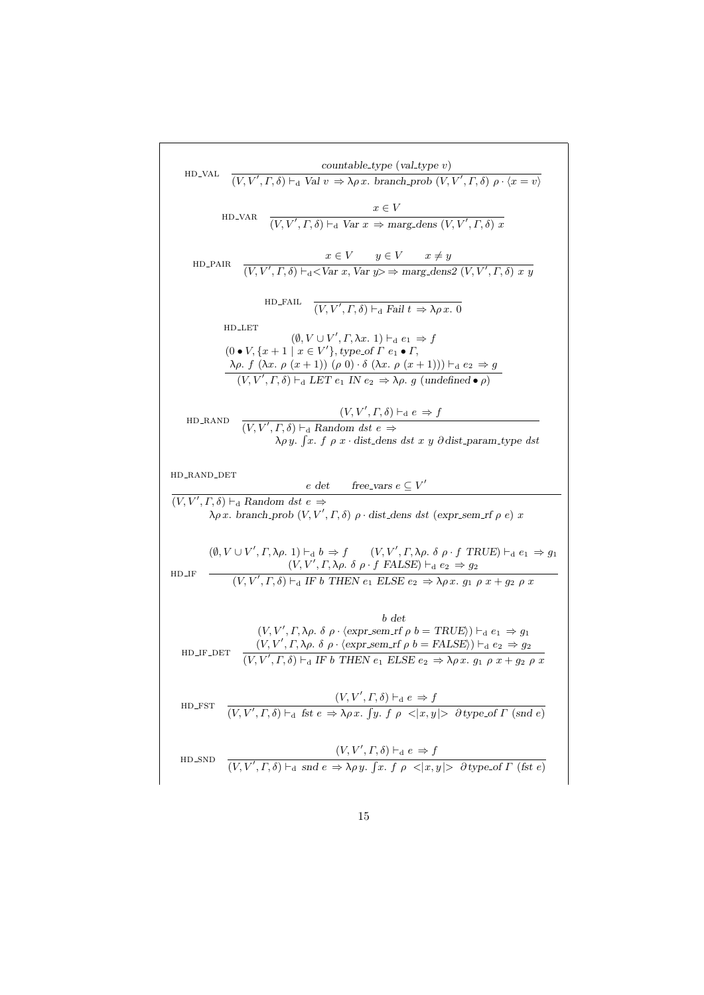HD-VAL  
\n
$$
\frac{\text{countable-type (val-type } v)}{(V, V', \Gamma, \delta) \vdash_d \text{Val } v \Rightarrow \lambda \rho x. \text{ branch-prob } (V, V', \Gamma, \delta) \rho \cdot \langle x = v \rangle}
$$
\nHD-VAR  
\n
$$
\frac{x \in V}{(V, V', \Gamma, \delta) \vdash_d \text{Var } x \Rightarrow \text{marg.dens } (V, V', \Gamma, \delta) \cdot x}
$$
\nHD-PAIR  
\n
$$
\frac{x \in V}{(V, V', \Gamma, \delta) \vdash_d \text{Var } x, \text{Var } y \Rightarrow \text{marg.dens } (V, V', \Gamma, \delta) \cdot x \cdot y}
$$
\nHD-EAL  
\n
$$
\frac{(V, V', \Gamma, \delta) \vdash_d \text{Var } x, \text{Var } y \Rightarrow \text{marg.dens } 2(V, V', \Gamma, \delta) \cdot x \cdot y}{(V, V', \Gamma, \delta) \vdash_d \text{Var } y, \text{Var } y, \text{Var } y}
$$
\nHD-EIT  
\n
$$
\frac{(0, V \cup V', \Gamma, \delta) \vdash_d \text{Var } \rho (x + 1))}{(V, V', \Gamma, \delta) \vdash_d \text{Var } \rho (x + 1))} \frac{(1 - 1) \cdot 1}{(1 - 1) \cdot 1} \frac{(1 - 1) \cdot 1}{(1 - 1) \cdot 1} \frac{(1 - 1) \cdot 1}{(1 - 1) \cdot 1} \frac{(1 - 1) \cdot 1}{(1 - 1) \cdot 1} \frac{(1 - 1) \cdot 1}{(1 - 1) \cdot 1} \frac{(1 - 1) \cdot 1}{(1 - 1) \cdot 1} \frac{(1 - 1) \cdot 1}{(1 - 1) \cdot 1} \frac{(1 - 1) \cdot 1}{(1 - 1) \cdot 1} \frac{(1 - 1) \cdot 1}{(1 - 1) \cdot 1} \frac{(1 - 1) \cdot 1}{(1 - 1) \cdot 1} \frac{(1 - 1) \cdot 1}{(1 - 1) \cdot 1} \frac{(1 - 1) \cdot 1}{(1 - 1) \cdot 1} \frac{(1 - 1) \cdot 1}{(1 - 1) \cdot 1} \frac{(1 - 1) \cdot 1}{(1 - 1) \cdot 1} \frac{(1 - 1) \cdot 1}{(1
$$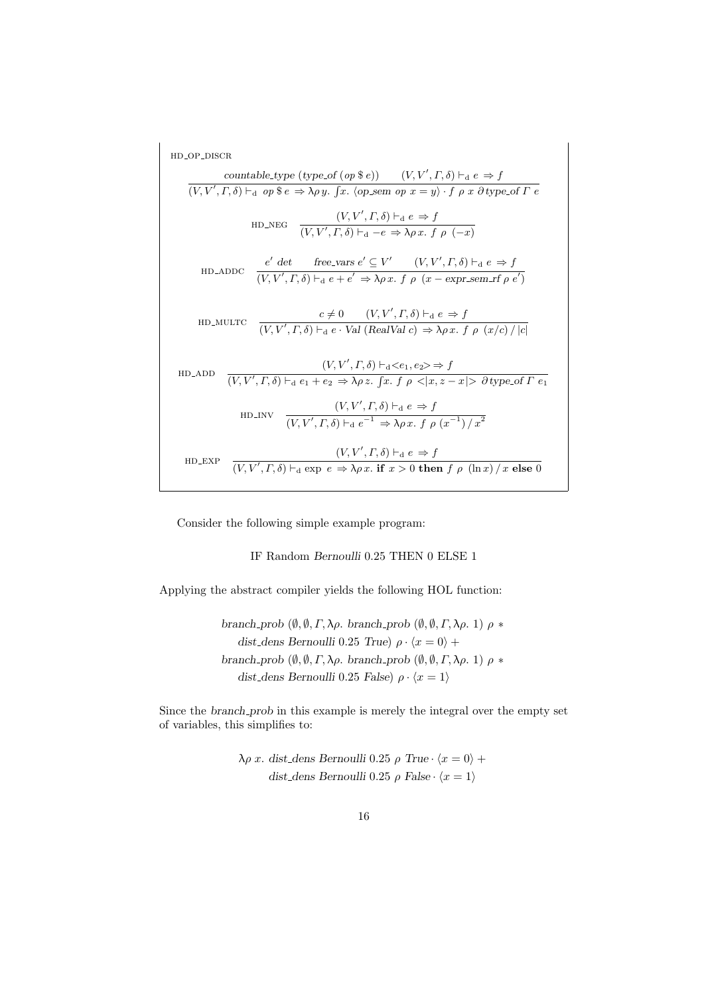HD-OP-DISCR  
\ncountable\_type (type\_of (op § e)) 
$$
(V, V', \Gamma, \delta) \vdash_d e \Rightarrow f
$$
  
\n $(V, V', \Gamma, \delta) \vdash_d op$  §  $e \Rightarrow \lambda \rho y$ .  $\int x$ .  $\langle op\_\text{sem} op x = y \rangle \cdot f \rho x$   $\partial \text{type-off } \Gamma e$   
\nHD-NEG  
\n $(V, V', \Gamma, \delta) \vdash_d e \Rightarrow f$   
\nHD-ABC  
\n $e'$  det  
\nfree-verser  $e' \subseteq V'$   $(V, V', \Gamma, \delta) \vdash_d e \Rightarrow f$   
\nHD-ADDC  
\n $e'$  det  
\nfree-verser  $e' \subseteq V'$   $(V, V', \Gamma, \delta) \vdash_d e \Rightarrow f$   
\nHD-MULTC  
\n $c \neq 0$   $(V, V', \Gamma, \delta) \vdash_d e \Rightarrow f$   
\nHD-MULTC  
\n $\frac{c \neq 0}{(V, V', \Gamma, \delta) \vdash_d e \cdot \text{Val (RealVal } c) \Rightarrow \lambda \rho x \cdot f \rho (x/c) / |c|}$   
\nHD-ADD  
\n $(V, V', \Gamma, \delta) \vdash_d e \cdot \text{Val (RealVal } c) \Rightarrow \lambda \rho x \cdot f \rho (x/c) / |c|$   
\nHD-ADD  
\n $(V, V', \Gamma, \delta) \vdash_d e_1 + e_2 \Rightarrow \lambda \rho z \cdot \int x \cdot f \rho \langle x, z - x \rangle > \partial \text{type-off } \Gamma e_1$   
\nHD-INV  
\n $(V, V', \Gamma, \delta) \vdash_d e \Rightarrow f$   
\nHD-INV  
\n $(V, V', \Gamma, \delta) \vdash_d e \Rightarrow f$   
\nHD-EXP  
\n $(V, V', \Gamma, \delta) \vdash_d e \Rightarrow f$   
\n $(V, V', \Gamma, \delta) \vdash_d e \Rightarrow f$   
\nHD-EXP  
\n $(V, V', \Gamma, \delta) \vdash_d e \Rightarrow f$   
\nHD-EXP  
\n $(V, V', \Gamma, \delta) \vdash_d e \Rightarrow f$   
\n $(V, V', \Gamma, \delta) \vdash_d e \Rightarrow f$   
\n $(V, V',$ 

Consider the following simple example program:

IF Random Bernoulli 0.25 THEN 0 ELSE 1

Applying the abstract compiler yields the following HOL function:

branch prob $(\emptyset, \emptyset, \Gamma, \lambda \rho$ . branch prob $(\emptyset, \emptyset, \Gamma, \lambda \rho. 1)$ <br/> $\rho$  \* dist\_dens Bernoulli 0.25 True)  $\rho \cdot (x = 0) +$ branch prob $(\emptyset, \emptyset, \Gamma, \lambda\rho.$ branch prob $(\emptyset, \emptyset, \Gamma, \lambda\rho.$ 1) $\rho$  \* dist\_dens Bernoulli 0.25 False)  $\rho \cdot \langle x = 1 \rangle$ 

Since the branch prob in this example is merely the integral over the empty set of variables, this simplifies to:

> $\lambda \rho$  x. dist\_dens Bernoulli 0.25  $\rho$  True ·  $\langle x = 0 \rangle$  + dist dens Bernoulli 0.25  $\rho$  False ·  $\langle x = 1 \rangle$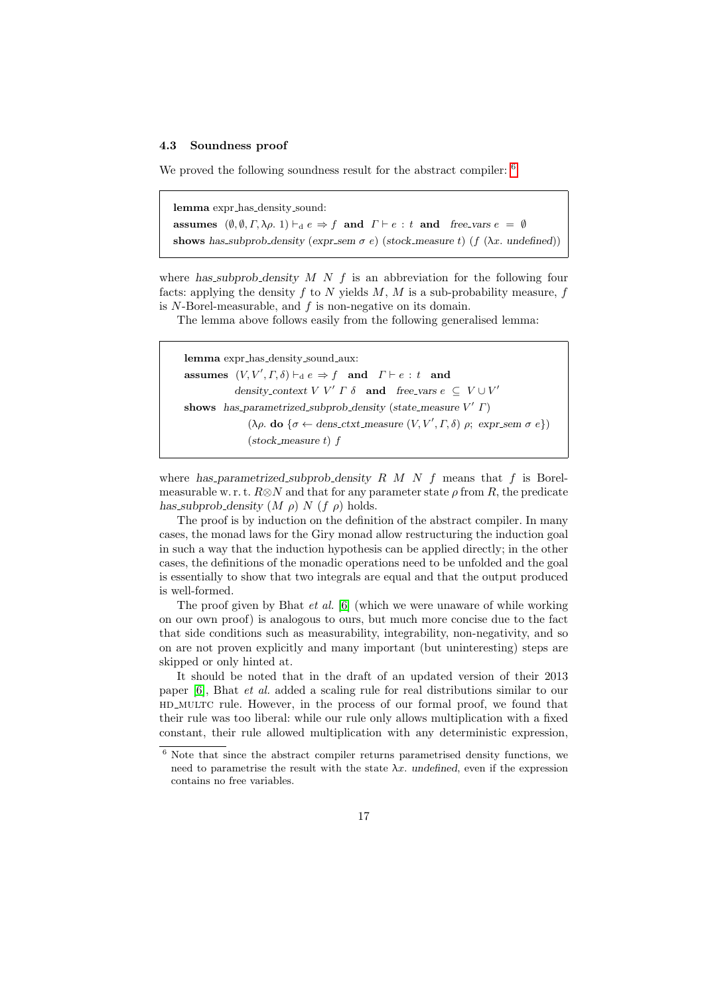#### 4.3 Soundness proof

We proved the following soundness result for the abstract compiler: <sup>[6](#page-16-0)</sup>

lemma expr has density sound: assumes  $(\emptyset, \emptyset, \Gamma, \lambda \rho, 1) \vdash_d e \Rightarrow f$  and  $\Gamma \vdash e : t$  and free\_vars  $e = \emptyset$ shows has subprob density (expr sem  $\sigma$  e) (stock measure t) (f ( $\lambda x$ . undefined))

where has subprob density  $M N f$  is an abbreviation for the following four facts: applying the density f to N yields  $M$ , M is a sub-probability measure, f is  $N$ -Borel-measurable, and  $f$  is non-negative on its domain.

The lemma above follows easily from the following generalised lemma:

lemma expr has density sound aux: assumes  $(V, V', \Gamma, \delta) \vdash_d e \Rightarrow f$  and  $\Gamma \vdash e : t$  and density\_context  $V V' \Gamma \delta$  and free\_vars  $e \subseteq V \cup V'$ shows has parametrized subprob density (state measure  $V'(\Gamma)$ )  $(\lambda \rho. \text{ do } {\sigma \leftarrow dens\_ctxt\_measure (V, V', \Gamma, \delta) \rho; expr\_sem \sigma e})$  $(\text{stock\_measure } t)$  f

where has parametrized subprob density  $R$   $M$   $N$   $f$  means that  $f$  is Borelmeasurable w. r. t.  $R \otimes N$  and that for any parameter state  $\rho$  from R, the predicate has subprob density  $(M \rho) N (f \rho)$  holds.

The proof is by induction on the definition of the abstract compiler. In many cases, the monad laws for the Giry monad allow restructuring the induction goal in such a way that the induction hypothesis can be applied directly; in the other cases, the definitions of the monadic operations need to be unfolded and the goal is essentially to show that two integrals are equal and that the output produced is well-formed.

The proof given by Bhat *et al.* [\[6\]](#page-23-2) (which we were unaware of while working on our own proof) is analogous to ours, but much more concise due to the fact that side conditions such as measurability, integrability, non-negativity, and so on are not proven explicitly and many important (but uninteresting) steps are skipped or only hinted at.

It should be noted that in the draft of an updated version of their 2013 paper [\[6\]](#page-23-2), Bhat et al. added a scaling rule for real distributions similar to our HD\_MULTC rule. However, in the process of our formal proof, we found that their rule was too liberal: while our rule only allows multiplication with a fixed constant, their rule allowed multiplication with any deterministic expression,

<span id="page-16-0"></span> $6$  Note that since the abstract compiler returns parametrised density functions, we need to parametrise the result with the state  $\lambda x$ . undefined, even if the expression contains no free variables.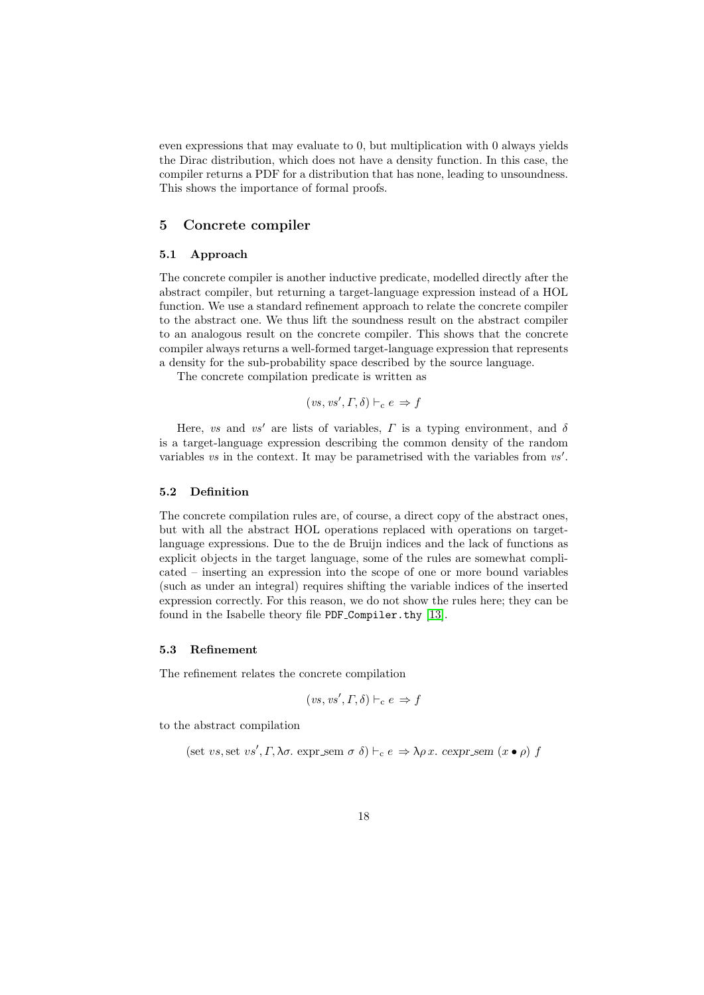even expressions that may evaluate to 0, but multiplication with 0 always yields the Dirac distribution, which does not have a density function. In this case, the compiler returns a PDF for a distribution that has none, leading to unsoundness. This shows the importance of formal proofs.

# <span id="page-17-0"></span>5 Concrete compiler

#### 5.1 Approach

The concrete compiler is another inductive predicate, modelled directly after the abstract compiler, but returning a target-language expression instead of a HOL function. We use a standard refinement approach to relate the concrete compiler to the abstract one. We thus lift the soundness result on the abstract compiler to an analogous result on the concrete compiler. This shows that the concrete compiler always returns a well-formed target-language expression that represents a density for the sub-probability space described by the source language.

The concrete compilation predicate is written as

$$
(vs, vs', \Gamma, \delta) \vdash_{\mathsf{c}} e \Rightarrow f
$$

Here, vs and vs' are lists of variables,  $\Gamma$  is a typing environment, and  $\delta$ is a target-language expression describing the common density of the random variables  $vs$  in the context. It may be parametrised with the variables from  $vs'$ .

# 5.2 Definition

The concrete compilation rules are, of course, a direct copy of the abstract ones, but with all the abstract HOL operations replaced with operations on targetlanguage expressions. Due to the de Bruijn indices and the lack of functions as explicit objects in the target language, some of the rules are somewhat complicated – inserting an expression into the scope of one or more bound variables (such as under an integral) requires shifting the variable indices of the inserted expression correctly. For this reason, we do not show the rules here; they can be found in the Isabelle theory file PDF Compiler.thy [\[13\]](#page-23-3).

#### 5.3 Refinement

The refinement relates the concrete compilation

$$
(vs, vs', \Gamma, \delta) \vdash_{\mathsf{c}} e \Rightarrow f
$$

to the abstract compilation

$$
(\text{set } vs, \text{set } vs', \Gamma, \lambda \sigma. \text{ expr.sem } \sigma \delta) \vdash_c e \Rightarrow \lambda \rho x. \text{ cexpr.sem } (x \bullet \rho) f
$$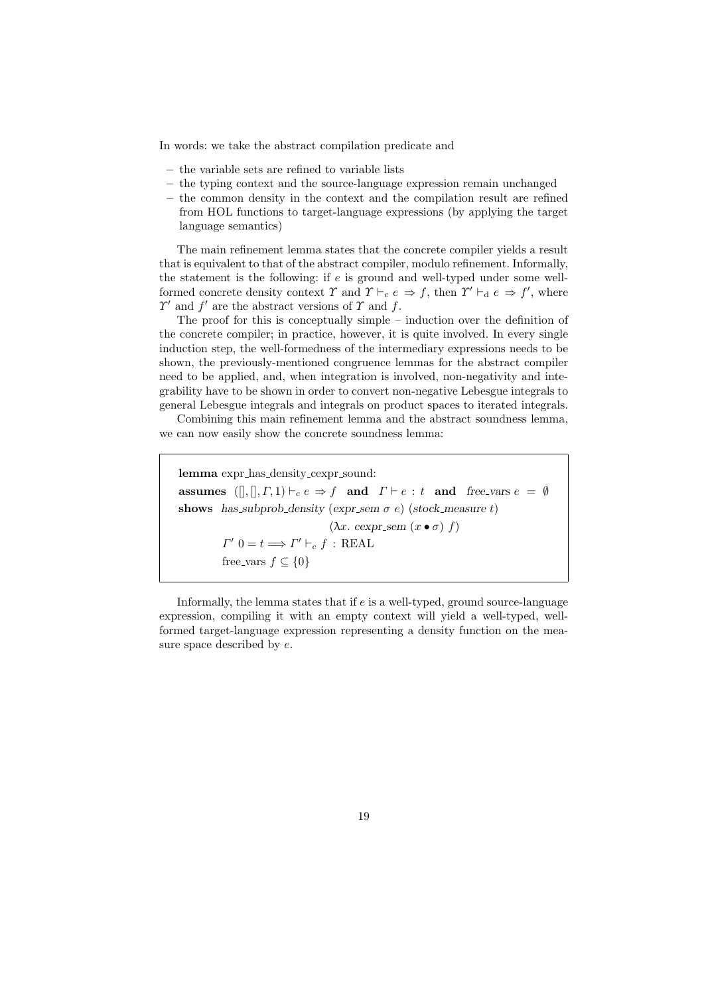In words: we take the abstract compilation predicate and

- the variable sets are refined to variable lists
- the typing context and the source-language expression remain unchanged
- the common density in the context and the compilation result are refined from HOL functions to target-language expressions (by applying the target language semantics)

The main refinement lemma states that the concrete compiler yields a result that is equivalent to that of the abstract compiler, modulo refinement. Informally, the statement is the following: if  $e$  is ground and well-typed under some wellformed concrete density context  $\Upsilon$  and  $\Upsilon \vdash_{c} e \Rightarrow f$ , then  $\Upsilon' \vdash_{d} e \Rightarrow f'$ , where  $\Upsilon'$  and  $f'$  are the abstract versions of  $\Upsilon$  and  $f$ .

The proof for this is conceptually simple – induction over the definition of the concrete compiler; in practice, however, it is quite involved. In every single induction step, the well-formedness of the intermediary expressions needs to be shown, the previously-mentioned congruence lemmas for the abstract compiler need to be applied, and, when integration is involved, non-negativity and integrability have to be shown in order to convert non-negative Lebesgue integrals to general Lebesgue integrals and integrals on product spaces to iterated integrals.

Combining this main refinement lemma and the abstract soundness lemma, we can now easily show the concrete soundness lemma:

lemma expr has density cexpr sound: assumes  $([],[],\Gamma,1) \vdash_c e \Rightarrow f$  and  $\Gamma \vdash e : t$  and free\_vars  $e = \emptyset$ shows has subprob density (expr sem  $\sigma$  e) (stock measure t) ( $\lambda x$ . cexpr\_sem  $(x \bullet \sigma) f$ )  $\Gamma'$  0 =  $t \Longrightarrow \Gamma' \vdash_{\rm c} f$  : REAL free\_vars  $f \subset \{0\}$ 

Informally, the lemma states that if  $e$  is a well-typed, ground source-language expression, compiling it with an empty context will yield a well-typed, wellformed target-language expression representing a density function on the measure space described by  $e$ .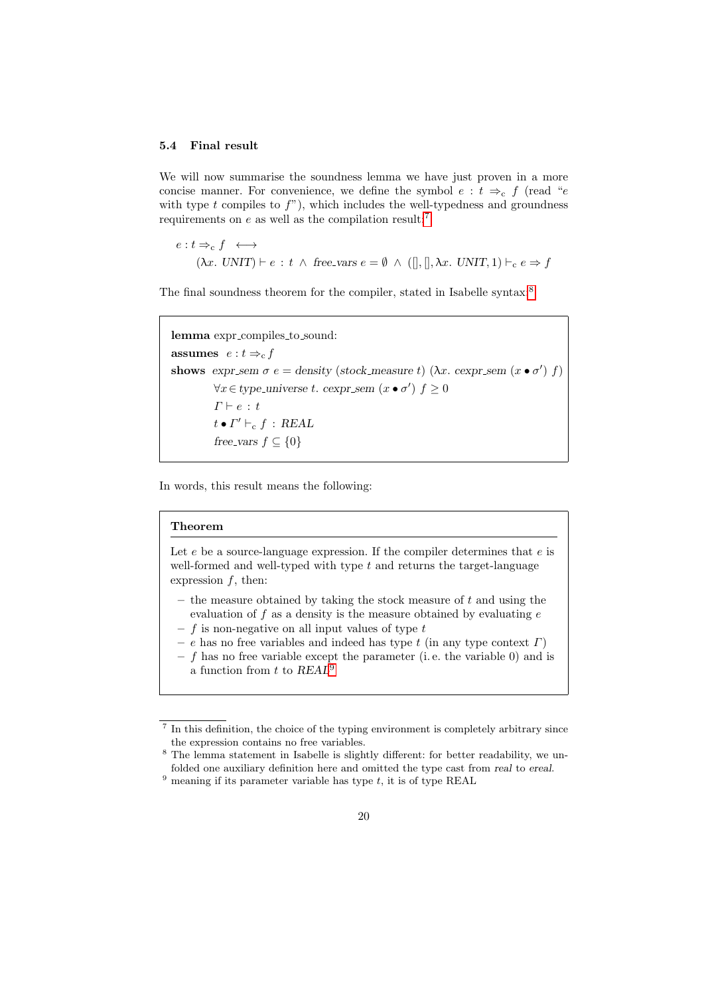#### 5.4 Final result

We will now summarise the soundness lemma we have just proven in a more concise manner. For convenience, we define the symbol  $e : t \Rightarrow_c f$  (read "e with type  $t$  compiles to  $f$ "), which includes the well-typedness and groundness requirements on  $e$  as well as the compilation result:<sup>[7](#page-19-0)</sup>

 $e : t \Rightarrow_c f \leftrightarrow$  $(\lambda x. \text{ UNIT}) \vdash e : t \land \text{free}\text{-}\text{vars } e = \emptyset \land ([],], \lambda x. \text{ UNIT}, 1) \vdash_c e \Rightarrow f$ 

The final soundness theorem for the compiler, stated in Isabelle syntax:<sup>[8](#page-19-1)</sup>

lemma expr compiles to sound: assumes  $e : t \Rightarrow_c f$ shows expr sem  $\sigma e =$  density (stock measure t) ( $\lambda x$ . cexpr sem  $(x \bullet \sigma') f$ )  $\forall x \in type$ -universe t. cexpr\_sem  $(x \bullet \sigma')$   $f \geq 0$  $\Gamma \vdash e$  : t  $t \bullet \Gamma' \vdash_{\mathbf{c}} f : \mathbf{REAL}$ free\_vars  $f \subseteq \{0\}$ 

In words, this result means the following:

# Theorem

Let  $e$  be a source-language expression. If the compiler determines that  $e$  is well-formed and well-typed with type  $t$  and returns the target-language expression  $f$ , then:

- the measure obtained by taking the stock measure of  $t$  and using the evaluation of  $f$  as a density is the measure obtained by evaluating  $e$
- $f$  is non-negative on all input values of type  $t$
- e has no free variables and indeed has type t (in any type context  $\Gamma$ )
- $f$  has no free variable except the parameter (i.e. the variable 0) and is a function from t to  $REAL<sup>9</sup>$  $REAL<sup>9</sup>$  $REAL<sup>9</sup>$

<span id="page-19-0"></span><sup>&</sup>lt;sup>7</sup> In this definition, the choice of the typing environment is completely arbitrary since the expression contains no free variables.

<span id="page-19-1"></span><sup>&</sup>lt;sup>8</sup> The lemma statement in Isabelle is slightly different: for better readability, we unfolded one auxiliary definition here and omitted the type cast from real to ereal.

<span id="page-19-2"></span> $^9$  meaning if its parameter variable has type  $t,$  it is of type REAL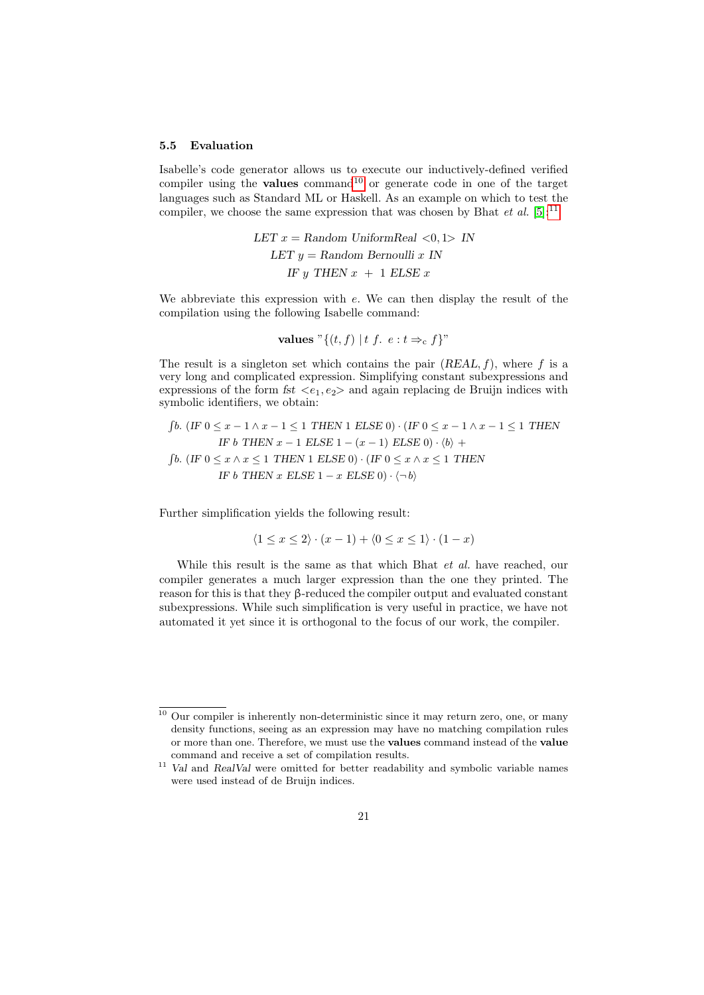#### 5.5 Evaluation

Isabelle's code generator allows us to execute our inductively-defined verified compiler using the **values** command<sup>[10](#page-20-0)</sup> or generate code in one of the target languages such as Standard ML or Haskell. As an example on which to test the compiler, we choose the same expression that was chosen by Bhat *et al.* [\[5\]](#page-22-0):<sup>[11](#page-20-1)</sup>

LET 
$$
x =
$$
 Random UniformReal  $\langle 0, 1 \rangle$  IN  
LET  $y =$  Random Bernoulli  $x$  IN  
IF  $y$  THEN  $x + 1$  ELSE  $x$ 

We abbreviate this expression with  $e$ . We can then display the result of the compilation using the following Isabelle command:

values "
$$
\{(t, f) | t \ f. \ e : t \Rightarrow_{\mathsf{c}} f\}
$$
"

The result is a singleton set which contains the pair  $(REAL, f)$ , where f is a very long and complicated expression. Simplifying constant subexpressions and expressions of the form  $fst \leq e_1, e_2>$  and again replacing de Bruijn indices with symbolic identifiers, we obtain:

$$
\begin{aligned}\n\int b. \ (IF \ 0 \le x - 1 \land x - 1 \le 1 \ \text{ THEN } 1 \ \text{ ELSE 0}) \cdot (IF \ 0 \le x - 1 \land x - 1 \le 1 \ \text{ THEN } \\
& \text{IF } b \ \text{ THEN } x - 1 \ \text{ ELSE 1} - (x - 1) \ \text{ ELSE 0}) \cdot \langle b \rangle + \\
\int b. \ (IF \ 0 \le x \land x \le 1 \ \text{ THEN } 1 \ \text{ ELSE 0}) \cdot (IF \ 0 \le x \land x \le 1 \ \text{ THEN } \\
& \text{IF } b \ \text{ THEN } x \ \text{ ELSE 1} - x \ \text{ ELSE 0}) \cdot \langle \neg b \rangle\n\end{aligned}
$$

Further simplification yields the following result:

$$
\langle 1 \le x \le 2 \rangle \cdot (x - 1) + \langle 0 \le x \le 1 \rangle \cdot (1 - x)
$$

While this result is the same as that which Bhat *et al.* have reached, our compiler generates a much larger expression than the one they printed. The reason for this is that they β-reduced the compiler output and evaluated constant subexpressions. While such simplification is very useful in practice, we have not automated it yet since it is orthogonal to the focus of our work, the compiler.

<span id="page-20-0"></span> $\frac{10}{10}$  Our compiler is inherently non-deterministic since it may return zero, one, or many density functions, seeing as an expression may have no matching compilation rules or more than one. Therefore, we must use the values command instead of the value command and receive a set of compilation results.

<span id="page-20-1"></span> $11$  Val and RealVal were omitted for better readability and symbolic variable names were used instead of de Bruijn indices.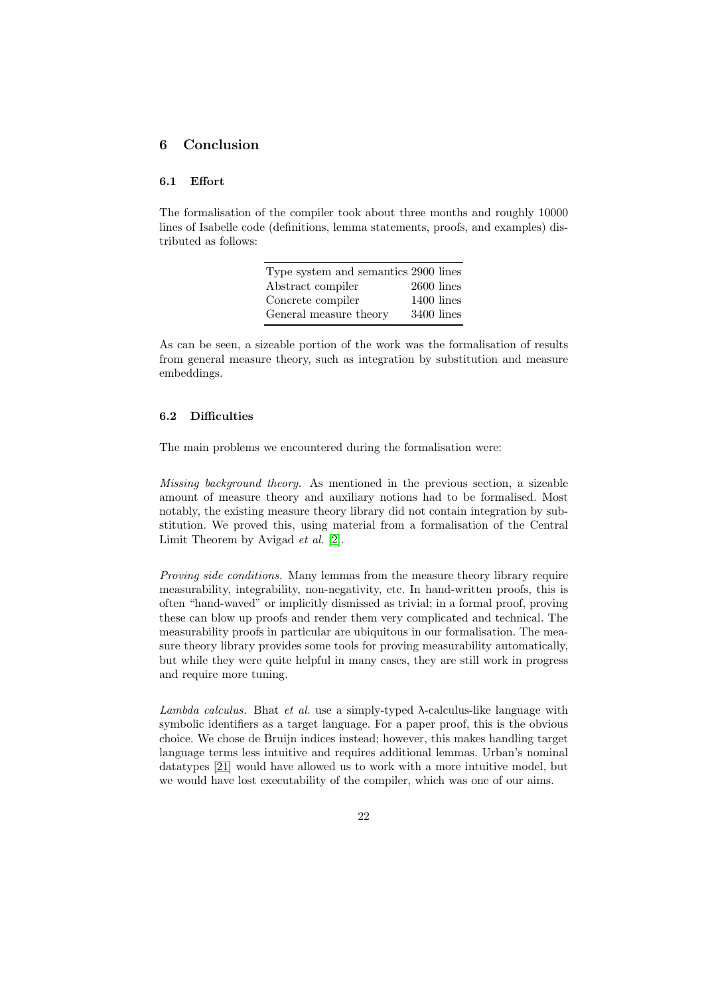# 6 Conclusion

#### 6.1 Effort

The formalisation of the compiler took about three months and roughly 10000 lines of Isabelle code (definitions, lemma statements, proofs, and examples) distributed as follows:

| Type system and semantics 2900 lines |              |  |
|--------------------------------------|--------------|--|
| Abstract compiler                    | $2600$ lines |  |
| Concrete compiler                    | $1400$ lines |  |
| General measure theory               | 3400 lines   |  |

As can be seen, a sizeable portion of the work was the formalisation of results from general measure theory, such as integration by substitution and measure embeddings.

#### 6.2 Difficulties

The main problems we encountered during the formalisation were:

Missing background theory. As mentioned in the previous section, a sizeable amount of measure theory and auxiliary notions had to be formalised. Most notably, the existing measure theory library did not contain integration by substitution. We proved this, using material from a formalisation of the Central Limit Theorem by Avigad et al. [\[2\]](#page-22-4).

Proving side conditions. Many lemmas from the measure theory library require measurability, integrability, non-negativity, etc. In hand-written proofs, this is often "hand-waved" or implicitly dismissed as trivial; in a formal proof, proving these can blow up proofs and render them very complicated and technical. The measurability proofs in particular are ubiquitous in our formalisation. The measure theory library provides some tools for proving measurability automatically, but while they were quite helpful in many cases, they are still work in progress and require more tuning.

Lambda calculus. Bhat et al. use a simply-typed  $\lambda$ -calculus-like language with symbolic identifiers as a target language. For a paper proof, this is the obvious choice. We chose de Bruijn indices instead; however, this makes handling target language terms less intuitive and requires additional lemmas. Urban's nominal datatypes [\[21\]](#page-23-14) would have allowed us to work with a more intuitive model, but we would have lost executability of the compiler, which was one of our aims.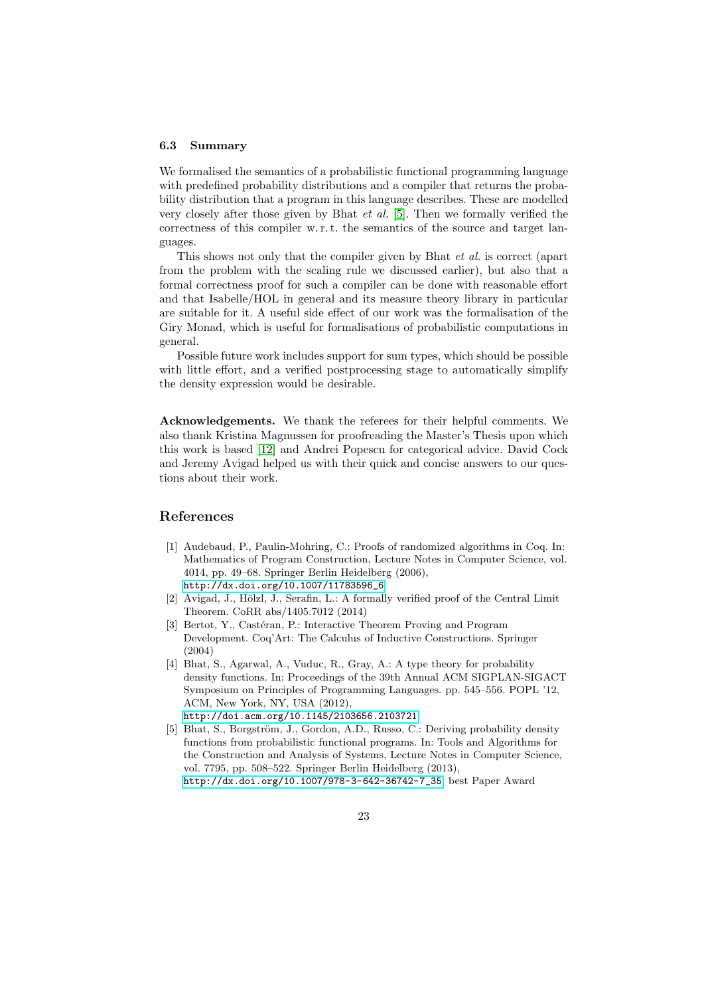#### 6.3 Summary

We formalised the semantics of a probabilistic functional programming language with predefined probability distributions and a compiler that returns the probability distribution that a program in this language describes. These are modelled very closely after those given by Bhat et al. [\[5\]](#page-22-0). Then we formally verified the correctness of this compiler w. r. t. the semantics of the source and target languages.

This shows not only that the compiler given by Bhat *et al.* is correct (apart from the problem with the scaling rule we discussed earlier), but also that a formal correctness proof for such a compiler can be done with reasonable effort and that Isabelle/HOL in general and its measure theory library in particular are suitable for it. A useful side effect of our work was the formalisation of the Giry Monad, which is useful for formalisations of probabilistic computations in general.

Possible future work includes support for sum types, which should be possible with little effort, and a verified postprocessing stage to automatically simplify the density expression would be desirable.

Acknowledgements. We thank the referees for their helpful comments. We also thank Kristina Magnussen for proofreading the Master's Thesis upon which this work is based [\[12\]](#page-23-15) and Andrei Popescu for categorical advice. David Cock and Jeremy Avigad helped us with their quick and concise answers to our questions about their work.

# References

- <span id="page-22-2"></span>[1] Audebaud, P., Paulin-Mohring, C.: Proofs of randomized algorithms in Coq. In: Mathematics of Program Construction, Lecture Notes in Computer Science, vol. 4014, pp. 49–68. Springer Berlin Heidelberg (2006), [http://dx.doi.org/10.1007/11783596\\_6](http://dx.doi.org/10.1007/11783596_6)
- <span id="page-22-4"></span>[2] Avigad, J., Hölzl, J., Serafin, L.: A formally verified proof of the Central Limit Theorem. CoRR abs/1405.7012 (2014)
- <span id="page-22-3"></span>[3] Bertot, Y., Castéran, P.: Interactive Theorem Proving and Program Development. Coq'Art: The Calculus of Inductive Constructions. Springer (2004)
- <span id="page-22-1"></span>[4] Bhat, S., Agarwal, A., Vuduc, R., Gray, A.: A type theory for probability density functions. In: Proceedings of the 39th Annual ACM SIGPLAN-SIGACT Symposium on Principles of Programming Languages. pp. 545–556. POPL '12, ACM, New York, NY, USA (2012), <http://doi.acm.org/10.1145/2103656.2103721>
- <span id="page-22-0"></span>[5] Bhat, S., Borgström, J., Gordon, A.D., Russo, C.: Deriving probability density functions from probabilistic functional programs. In: Tools and Algorithms for the Construction and Analysis of Systems, Lecture Notes in Computer Science, vol. 7795, pp. 508–522. Springer Berlin Heidelberg (2013),

[http://dx.doi.org/10.1007/978-3-642-36742-7\\_35](http://dx.doi.org/10.1007/978-3-642-36742-7_35), best Paper Award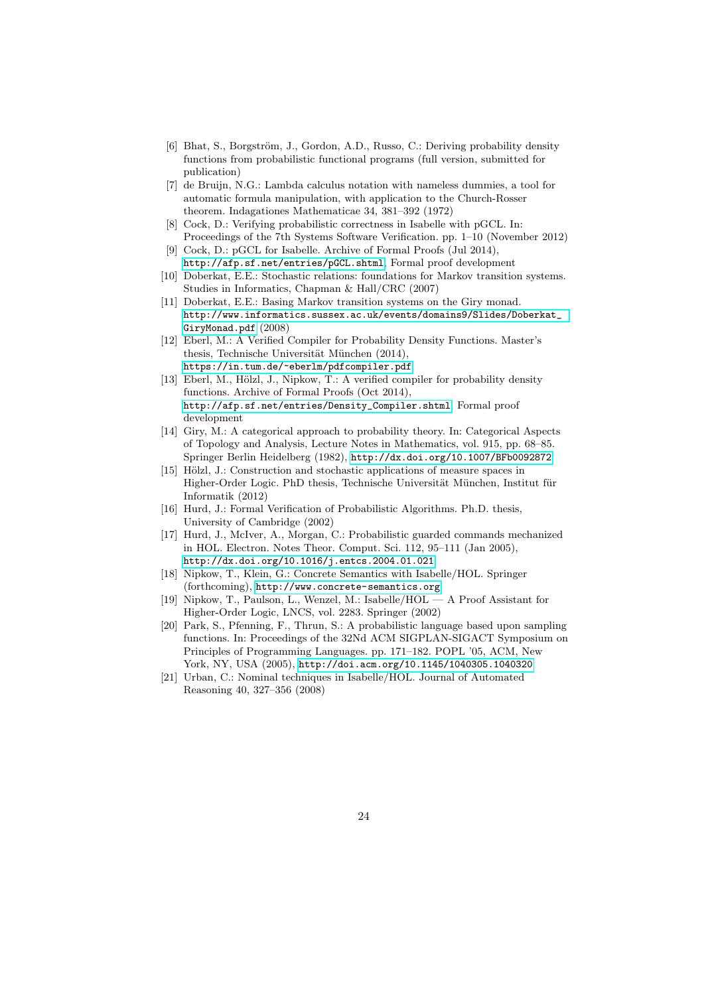- <span id="page-23-2"></span>[6] Bhat, S., Borgström, J., Gordon, A.D., Russo, C.: Deriving probability density functions from probabilistic functional programs (full version, submitted for publication)
- <span id="page-23-10"></span>[7] de Bruijn, N.G.: Lambda calculus notation with nameless dummies, a tool for automatic formula manipulation, with application to the Church-Rosser theorem. Indagationes Mathematicae 34, 381–392 (1972)
- <span id="page-23-7"></span>Cock, D.: Verifying probabilistic correctness in Isabelle with pGCL. In:
- <span id="page-23-8"></span>Proceedings of the 7th Systems Software Verification. pp. 1–10 (November 2012) [9] Cock, D.: pGCL for Isabelle. Archive of Formal Proofs (Jul 2014),
- <span id="page-23-12"></span><http://afp.sf.net/entries/pGCL.shtml>, Formal proof development [10] Doberkat, E.E.: Stochastic relations: foundations for Markov transition systems. Studies in Informatics, Chapman & Hall/CRC (2007)
- <span id="page-23-11"></span>[11] Doberkat, E.E.: Basing Markov transition systems on the Giry monad. [http://www.informatics.sussex.ac.uk/events/domains9/Slides/Doberkat\\_](http://www.informatics.sussex.ac.uk/events/domains9/Slides/Doberkat_GiryMonad.pdf) [GiryMonad.pdf](http://www.informatics.sussex.ac.uk/events/domains9/Slides/Doberkat_GiryMonad.pdf) (2008)
- <span id="page-23-15"></span>[12] Eberl, M.: A Verified Compiler for Probability Density Functions. Master's thesis, Technische Universität München (2014), <https://in.tum.de/~eberlm/pdfcompiler.pdf>
- <span id="page-23-3"></span>[13] Eberl, M., Hölzl, J., Nipkow, T.: A verified compiler for probability density functions. Archive of Formal Proofs (Oct 2014), [http://afp.sf.net/entries/Density\\_Compiler.shtml](http://afp.sf.net/entries/Density_Compiler.shtml), Formal proof development
- <span id="page-23-13"></span>[14] Giry, M.: A categorical approach to probability theory. In: Categorical Aspects of Topology and Analysis, Lecture Notes in Mathematics, vol. 915, pp. 68–85. Springer Berlin Heidelberg (1982), <http://dx.doi.org/10.1007/BFb0092872>
- <span id="page-23-9"></span>[15] Hölzl, J.: Construction and stochastic applications of measure spaces in Higher-Order Logic. PhD thesis, Technische Universität München, Institut für Informatik (2012)
- <span id="page-23-5"></span>[16] Hurd, J.: Formal Verification of Probabilistic Algorithms. Ph.D. thesis, University of Cambridge (2002)
- <span id="page-23-6"></span>[17] Hurd, J., McIver, A., Morgan, C.: Probabilistic guarded commands mechanized in HOL. Electron. Notes Theor. Comput. Sci. 112, 95–111 (Jan 2005), <http://dx.doi.org/10.1016/j.entcs.2004.01.021>
- <span id="page-23-0"></span>[18] Nipkow, T., Klein, G.: Concrete Semantics with Isabelle/HOL. Springer (forthcoming), <http://www.concrete-semantics.org>
- <span id="page-23-1"></span>[19] Nipkow, T., Paulson, L., Wenzel, M.: Isabelle/HOL — A Proof Assistant for Higher-Order Logic, LNCS, vol. 2283. Springer (2002)
- <span id="page-23-4"></span>[20] Park, S., Pfenning, F., Thrun, S.: A probabilistic language based upon sampling functions. In: Proceedings of the 32Nd ACM SIGPLAN-SIGACT Symposium on Principles of Programming Languages. pp. 171–182. POPL '05, ACM, New York, NY, USA (2005), <http://doi.acm.org/10.1145/1040305.1040320>
- <span id="page-23-14"></span>[21] Urban, C.: Nominal techniques in Isabelle/HOL. Journal of Automated Reasoning 40, 327–356 (2008)